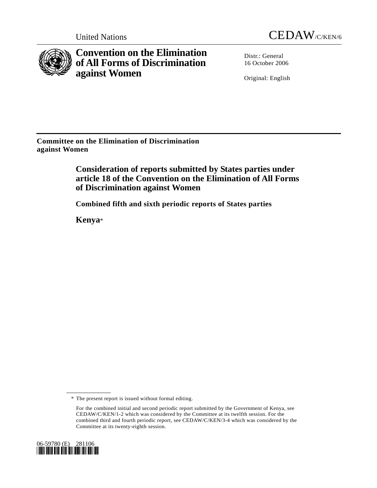



**Convention on the Elimination of All Forms of Discrimination against Women** 

Distr.: General 16 October 2006

Original: English

**Committee on the Elimination of Discrimination against Women** 

> **Consideration of reports submitted by States parties under article 18 of the Convention on the Elimination of All Forms of Discrimination against Women**

 **Combined fifth and sixth periodic reports of States parties** 

 **Kenya**\*

For the combined initial and second periodic report submitted by the Government of Kenya, see CEDAW/C/KEN/1-2 which was considered by the Committee at its twelfth session. For the combined third and fourth periodic report, see CEDAW/C/KEN/3-4 which was considered by the Committee at its twenty-eighth session.



 <sup>\*</sup> The present report is issued without formal editing.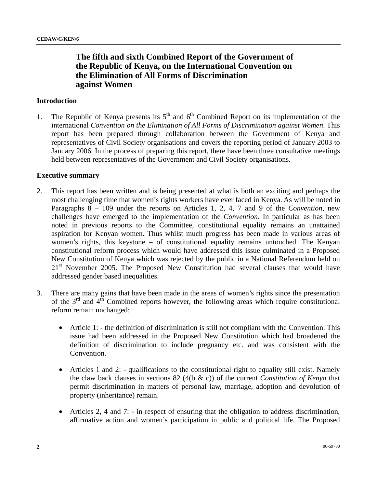# **The fifth and sixth Combined Report of the Government of the Republic of Kenya, on the International Convention on the Elimination of All Forms of Discrimination against Women**

## **Introduction**

1. The Republic of Kenya presents its  $5<sup>th</sup>$  and  $6<sup>th</sup>$  Combined Report on its implementation of the international *Convention on the Elimination of All Forms of Discrimination against Women*. This report has been prepared through collaboration between the Government of Kenya and representatives of Civil Society organisations and covers the reporting period of January 2003 to January 2006. In the process of preparing this report, there have been three consultative meetings held between representatives of the Government and Civil Society organisations.

#### **Executive summary**

- 2. This report has been written and is being presented at what is both an exciting and perhaps the most challenging time that women's rights workers have ever faced in Kenya. As will be noted in Paragraphs 8 – 109 under the reports on Articles 1, 2, 4, 7 and 9 of the *Convention*, new challenges have emerged to the implementation of the *Convention*. In particular as has been noted in previous reports to the Committee, constitutional equality remains an unattained aspiration for Kenyan women. Thus whilst much progress has been made in various areas of women's rights, this keystone – of constitutional equality remains untouched. The Kenyan constitutional reform process which would have addressed this issue culminated in a Proposed New Constitution of Kenya which was rejected by the public in a National Referendum held on 21<sup>st</sup> November 2005. The Proposed New Constitution had several clauses that would have addressed gender based inequalities.
- 3. There are many gains that have been made in the areas of women's rights since the presentation of the  $3<sup>rd</sup>$  and  $4<sup>th</sup>$  Combined reports however, the following areas which require constitutional reform remain unchanged:
	- Article 1: the definition of discrimination is still not compliant with the Convention. This issue had been addressed in the Proposed New Constitution which had broadened the definition of discrimination to include pregnancy etc. and was consistent with the Convention.
	- Articles 1 and 2: qualifications to the constitutional right to equality still exist. Namely the claw back clauses in sections 82 (4(b & c)) of the current *Constitution of Kenya* that permit discrimination in matters of personal law, marriage, adoption and devolution of property (inheritance) remain.
	- Articles 2, 4 and 7: in respect of ensuring that the obligation to address discrimination, affirmative action and women's participation in public and political life. The Proposed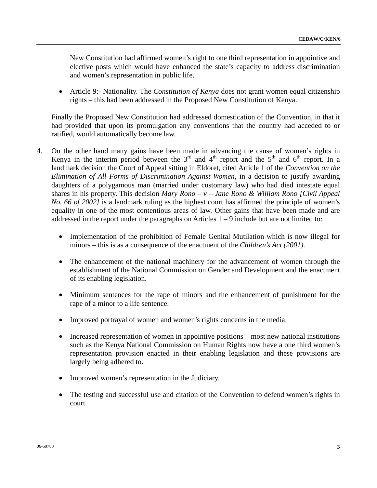New Constitution had affirmed women's right to one third representation in appointive and elective posts which would have enhanced the state's capacity to address discrimination and women's representation in public life.

• Article 9:- Nationality. The *Constitution of Kenya* does not grant women equal citizenship rights – this had been addressed in the Proposed New Constitution of Kenya.

 Finally the Proposed New Constitution had addressed domestication of the Convention, in that it had provided that upon its promulgation any conventions that the country had acceded to or ratified, would automatically become law.

- 4. On the other hand many gains have been made in advancing the cause of women's rights in Kenya in the interim period between the  $3<sup>rd</sup>$  and  $4<sup>th</sup>$  report and the  $5<sup>th</sup>$  and  $6<sup>th</sup>$  report. In a landmark decision the Court of Appeal sitting in Eldoret, cited Article 1 of the *Convention on the Elimination of All Forms of Discrimination Against Women*, in a decision to justify awarding daughters of a polygamous man (married under customary law) who had died intestate equal shares in his property. This decision *Mary Rono – v – Jane Rono & William Rono [Civil Appeal No. 66 of 2002]* is a landmark ruling as the highest court has affirmed the principle of women's equality in one of the most contentious areas of law. Other gains that have been made and are addressed in the report under the paragraphs on Articles  $1 - 9$  include but are not limited to:
	- Implementation of the prohibition of Female Genital Mutilation which is now illegal for minors – this is as a consequence of the enactment of the *Children's Act (2001)*.
	- The enhancement of the national machinery for the advancement of women through the establishment of the National Commission on Gender and Development and the enactment of its enabling legislation.
	- Minimum sentences for the rape of minors and the enhancement of punishment for the rape of a minor to a life sentence.
	- Improved portrayal of women and women's rights concerns in the media.
	- Increased representation of women in appointive positions most new national institutions such as the Kenya National Commission on Human Rights now have a one third women's representation provision enacted in their enabling legislation and these provisions are largely being adhered to.
	- Improved women's representation in the Judiciary.
	- The testing and successful use and citation of the Convention to defend women's rights in court.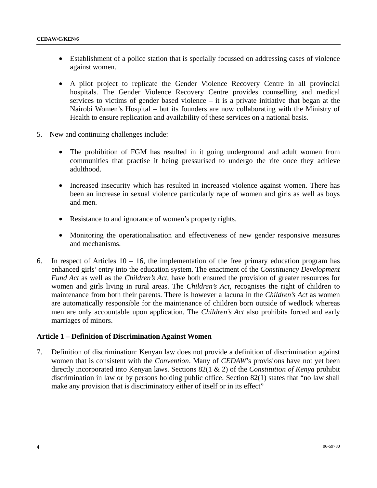- Establishment of a police station that is specially focussed on addressing cases of violence against women.
- A pilot project to replicate the Gender Violence Recovery Centre in all provincial hospitals. The Gender Violence Recovery Centre provides counselling and medical services to victims of gender based violence – it is a private initiative that began at the Nairobi Women's Hospital – but its founders are now collaborating with the Ministry of Health to ensure replication and availability of these services on a national basis.
- 5. New and continuing challenges include:
	- The prohibition of FGM has resulted in it going underground and adult women from communities that practise it being pressurised to undergo the rite once they achieve adulthood.
	- Increased insecurity which has resulted in increased violence against women. There has been an increase in sexual violence particularly rape of women and girls as well as boys and men.
	- Resistance to and ignorance of women's property rights.
	- Monitoring the operationalisation and effectiveness of new gender responsive measures and mechanisms.
- 6. In respect of Articles  $10 16$ , the implementation of the free primary education program has enhanced girls' entry into the education system. The enactment of the *Constituency Development Fund Act* as well as the *Children's Act*, have both ensured the provision of greater resources for women and girls living in rural areas. The *Children's Act*, recognises the right of children to maintenance from both their parents. There is however a lacuna in the *Children's Act* as women are automatically responsible for the maintenance of children born outside of wedlock whereas men are only accountable upon application. The *Children's Act* also prohibits forced and early marriages of minors.

# **Article 1 – Definition of Discrimination Against Women**

7. Definition of discrimination: Kenyan law does not provide a definition of discrimination against women that is consistent with the *Convention*. Many of *CEDAW*'s provisions have not yet been directly incorporated into Kenyan laws. Sections 82(1 & 2) of the *Constitution of Kenya* prohibit discrimination in law or by persons holding public office. Section 82(1) states that "no law shall make any provision that is discriminatory either of itself or in its effect"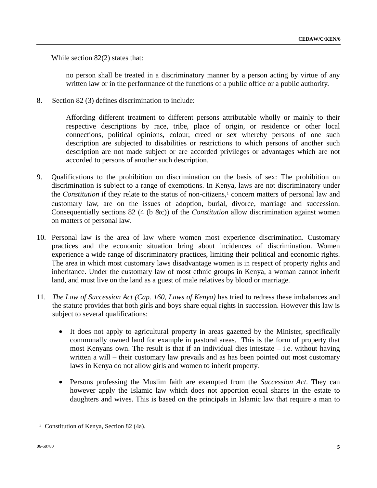While section 82(2) states that:

 no person shall be treated in a discriminatory manner by a person acting by virtue of any written law or in the performance of the functions of a public office or a public authority.

8. Section 82 (3) defines discrimination to include:

 Affording different treatment to different persons attributable wholly or mainly to their respective descriptions by race, tribe, place of origin, or residence or other local connections, political opinions, colour, creed or sex whereby persons of one such description are subjected to disabilities or restrictions to which persons of another such description are not made subject or are accorded privileges or advantages which are not accorded to persons of another such description.

- 9. Qualifications to the prohibition on discrimination on the basis of sex: The prohibition on discrimination is subject to a range of exemptions. In Kenya, laws are not discriminatory under the *Constitution* if they relate to the status of non-citizens,<sup>1</sup> concern matters of personal law and customary law, are on the issues of adoption, burial, divorce, marriage and succession. Consequentially sections 82 (4 (b &c)) of the *Constitution* allow discrimination against women on matters of personal law.
- 10. Personal law is the area of law where women most experience discrimination. Customary practices and the economic situation bring about incidences of discrimination. Women experience a wide range of discriminatory practices, limiting their political and economic rights. The area in which most customary laws disadvantage women is in respect of property rights and inheritance. Under the customary law of most ethnic groups in Kenya, a woman cannot inherit land, and must live on the land as a guest of male relatives by blood or marriage.
- 11. *The Law of Succession Act (Cap. 160, Laws of Kenya)* has tried to redress these imbalances and the statute provides that both girls and boys share equal rights in succession. However this law is subject to several qualifications:
	- It does not apply to agricultural property in areas gazetted by the Minister, specifically communally owned land for example in pastoral areas. This is the form of property that most Kenyans own. The result is that if an individual dies intestate – i.e. without having written a will – their customary law prevails and as has been pointed out most customary laws in Kenya do not allow girls and women to inherit property.
	- Persons professing the Muslim faith are exempted from the *Succession Act*. They can however apply the Islamic law which does not apportion equal shares in the estate to daughters and wives. This is based on the principals in Islamic law that require a man to

<span id="page-4-0"></span>**\_\_\_\_\_\_\_\_\_\_\_\_\_\_\_\_\_\_** 

<sup>&</sup>lt;sup>1</sup> Constitution of Kenya, Section 82 (4a).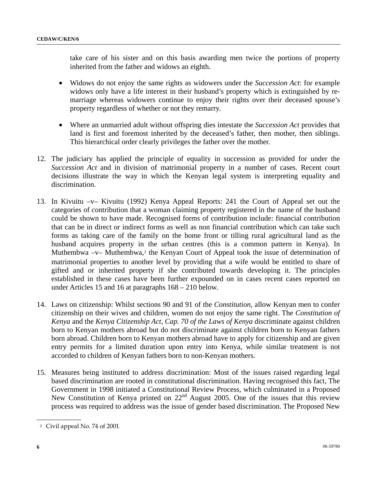take care of his sister and on this basis awarding men twice the portions of property inherited from the father and widows an eighth.

- Widows do not enjoy the same rights as widowers under the *Succession Act*: for example widows only have a life interest in their husband's property which is extinguished by remarriage whereas widowers continue to enjoy their rights over their deceased spouse's property regardless of whether or not they remarry.
- Where an unmarried adult without offspring dies intestate the *Succession Act* provides that land is first and foremost inherited by the deceased's father, then mother, then siblings. This hierarchical order clearly privileges the father over the mother.
- 12. The judiciary has applied the principle of equality in succession as provided for under the *Succession Act* and in division of matrimonial property in a number of cases. Recent court decisions illustrate the way in which the Kenyan legal system is interpreting equality and discrimination.
- 13. In Kivuitu –v– Kivuitu (1992) Kenya Appeal Reports: 241 the Court of Appeal set out the categories of contribution that a woman claiming property registered in the name of the husband could be shown to have made. Recognised forms of contribution include: financial contribution that can be in direct or indirect forms as well as non financial contribution which can take such forms as taking care of the family on the home front or tilling rural agricultural land as the husband acquires property in the urban centres (this is a common pattern in Kenya). In Muthembwa –v– Muthembwa*,*[2](#page-5-0) the Kenyan Court of Appeal took the issue of determination of matrimonial properties to another level by providing that a wife would be entitled to share of gifted and or inherited property if she contributed towards developing it. The principles established in these cases have been further expounded on in cases recent cases reported on under Articles 15 and 16 at paragraphs 168 – 210 below.
- 14. Laws on citizenship: Whilst sections 90 and 91 of the *Constitution*, allow Kenyan men to confer citizenship on their wives and children, women do not enjoy the same right. The *Constitution of Kenya* and the *Kenya Citizenship Act, Cap. 70 of the Laws of Kenya* discriminate against children born to Kenyan mothers abroad but do not discriminate against children born to Kenyan fathers born abroad. Children born to Kenyan mothers abroad have to apply for citizenship and are given entry permits for a limited duration upon entry into Kenya, while similar treatment is not accorded to children of Kenyan fathers born to non-Kenyan mothers.
- 15. Measures being instituted to address discrimination: Most of the issues raised regarding legal based discrimination are rooted in constitutional discrimination. Having recognised this fact, The Government in 1998 initiated a Constitutional Review Process, which culminated in a Proposed New Constitution of Kenya printed on  $22<sup>nd</sup>$  August 2005. One of the issues that this review process was required to address was the issue of gender based discrimination. The Proposed New

<span id="page-5-0"></span>**\_\_\_\_\_\_\_\_\_\_\_\_\_\_\_\_\_\_** 

<sup>2</sup> Civil appeal No. 74 of 2001.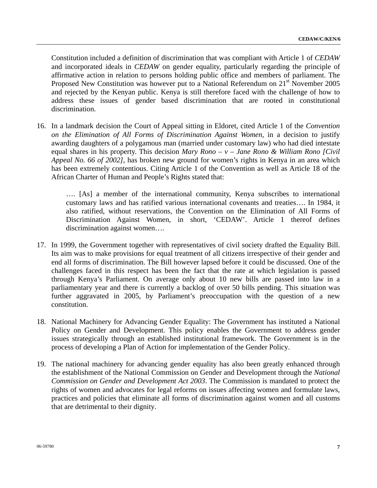Constitution included a definition of discrimination that was compliant with Article 1 of *CEDAW* and incorporated ideals in *CEDAW* on gender equality, particularly regarding the principle of affirmative action in relation to persons holding public office and members of parliament. The Proposed New Constitution was however put to a National Referendum on  $21<sup>st</sup>$  November 2005 and rejected by the Kenyan public. Kenya is still therefore faced with the challenge of how to address these issues of gender based discrimination that are rooted in constitutional discrimination.

16. In a landmark decision the Court of Appeal sitting in Eldoret, cited Article 1 of the *Convention on the Elimination of All Forms of Discrimination Against Women*, in a decision to justify awarding daughters of a polygamous man (married under customary law) who had died intestate equal shares in his property. This decision *Mary Rono – v – Jane Rono & William Rono [Civil Appeal No. 66 of 2002]*, has broken new ground for women's rights in Kenya in an area which has been extremely contentious. Citing Article 1 of the Convention as well as Article 18 of the African Charter of Human and People's Rights stated that:

 …. [As] a member of the international community, Kenya subscribes to international customary laws and has ratified various international covenants and treaties…. In 1984, it also ratified, without reservations, the Convention on the Elimination of All Forms of Discrimination Against Women, in short, 'CEDAW'. Article 1 thereof defines discrimination against women….

- 17. In 1999, the Government together with representatives of civil society drafted the Equality Bill. Its aim was to make provisions for equal treatment of all citizens irrespective of their gender and end all forms of discrimination. The Bill however lapsed before it could be discussed. One of the challenges faced in this respect has been the fact that the rate at which legislation is passed through Kenya's Parliament. On average only about 10 new bills are passed into law in a parliamentary year and there is currently a backlog of over 50 bills pending. This situation was further aggravated in 2005, by Parliament's preoccupation with the question of a new constitution.
- 18. National Machinery for Advancing Gender Equality: The Government has instituted a National Policy on Gender and Development. This policy enables the Government to address gender issues strategically through an established institutional framework. The Government is in the process of developing a Plan of Action for implementation of the Gender Policy.
- 19. The national machinery for advancing gender equality has also been greatly enhanced through the establishment of the National Commission on Gender and Development through the *National Commission on Gender and Development Act 2003*. The Commission is mandated to protect the rights of women and advocates for legal reforms on issues affecting women and formulate laws, practices and policies that eliminate all forms of discrimination against women and all customs that are detrimental to their dignity.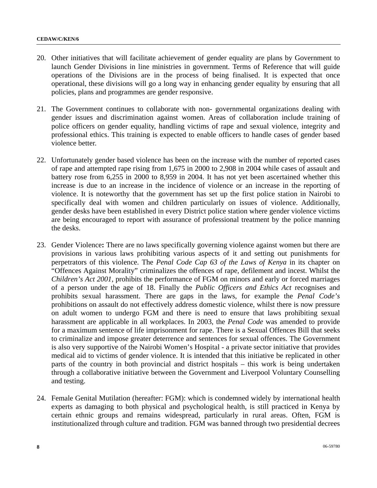- 20. Other initiatives that will facilitate achievement of gender equality are plans by Government to launch Gender Divisions in line ministries in government. Terms of Reference that will guide operations of the Divisions are in the process of being finalised. It is expected that once operational, these divisions will go a long way in enhancing gender equality by ensuring that all policies, plans and programmes are gender responsive.
- 21. The Government continues to collaborate with non- governmental organizations dealing with gender issues and discrimination against women. Areas of collaboration include training of police officers on gender equality, handling victims of rape and sexual violence, integrity and professional ethics. This training is expected to enable officers to handle cases of gender based violence better.
- 22. Unfortunately gender based violence has been on the increase with the number of reported cases of rape and attempted rape rising from 1,675 in 2000 to 2,908 in 2004 while cases of assault and battery rose from 6,255 in 2000 to 8,959 in 2004. It has not yet been ascertained whether this increase is due to an increase in the incidence of violence or an increase in the reporting of violence. It is noteworthy that the government has set up the first police station in Nairobi to specifically deal with women and children particularly on issues of violence. Additionally, gender desks have been established in every District police station where gender violence victims are being encouraged to report with assurance of professional treatment by the police manning the desks.
- 23. Gender Violence**:** There are no laws specifically governing violence against women but there are provisions in various laws prohibiting various aspects of it and setting out punishments for perpetrators of this violence. The *Penal Code Cap 63 of the Laws of Kenya* in its chapter on "Offences Against Morality" criminalizes the offences of rape, defilement and incest. Whilst the *Children's Act 2001*, prohibits the performance of FGM on minors and early or forced marriages of a person under the age of 18. Finally the *Public Officers and Ethics Act* recognises and prohibits sexual harassment. There are gaps in the laws, for example the *Penal Code's* prohibitions on assault do not effectively address domestic violence, whilst there is now pressure on adult women to undergo FGM and there is need to ensure that laws prohibiting sexual harassment are applicable in all workplaces. In 2003, the *Penal Code* was amended to provide for a maximum sentence of life imprisonment for rape. There is a Sexual Offences Bill that seeks to criminalize and impose greater deterrence and sentences for sexual offences. The Government is also very supportive of the Nairobi Women's Hospital - a private sector initiative that provides medical aid to victims of gender violence. It is intended that this initiative be replicated in other parts of the country in both provincial and district hospitals – this work is being undertaken through a collaborative initiative between the Government and Liverpool Voluntary Counselling and testing.
- 24. Female Genital Mutilation (hereafter: FGM): which is condemned widely by international health experts as damaging to both physical and psychological health, is still practiced in Kenya by certain ethnic groups and remains widespread, particularly in rural areas. Often, FGM is institutionalized through culture and tradition. FGM was banned through two presidential decrees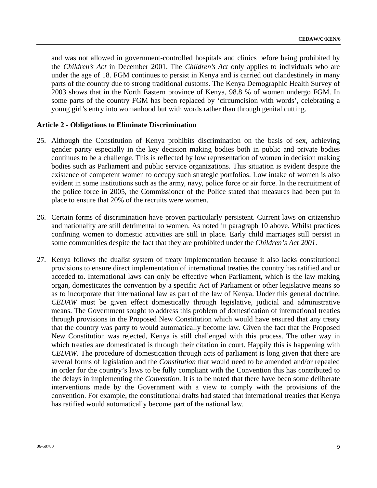and was not allowed in government-controlled hospitals and clinics before being prohibited by the *Children's Act* in December 2001. The *Children's Act* only applies to individuals who are under the age of 18. FGM continues to persist in Kenya and is carried out clandestinely in many parts of the country due to strong traditional customs. The Kenya Demographic Health Survey of 2003 shows that in the North Eastern province of Kenya, 98.8 % of women undergo FGM. In some parts of the country FGM has been replaced by 'circumcision with words', celebrating a young girl's entry into womanhood but with words rather than through genital cutting.

## **Article 2 - Obligations to Eliminate Discrimination**

- 25. Although the Constitution of Kenya prohibits discrimination on the basis of sex, achieving gender parity especially in the key decision making bodies both in public and private bodies continues to be a challenge. This is reflected by low representation of women in decision making bodies such as Parliament and public service organizations. This situation is evident despite the existence of competent women to occupy such strategic portfolios. Low intake of women is also evident in some institutions such as the army, navy, police force or air force. In the recruitment of the police force in 2005, the Commissioner of the Police stated that measures had been put in place to ensure that 20% of the recruits were women.
- 26. Certain forms of discrimination have proven particularly persistent. Current laws on citizenship and nationality are still detrimental to women. As noted in paragraph 10 above. Whilst practices confining women to domestic activities are still in place. Early child marriages still persist in some communities despite the fact that they are prohibited under the *Children's Act 2001*.
- 27. Kenya follows the dualist system of treaty implementation because it also lacks constitutional provisions to ensure direct implementation of international treaties the country has ratified and or acceded to. International laws can only be effective when Parliament, which is the law making organ, domesticates the convention by a specific Act of Parliament or other legislative means so as to incorporate that international law as part of the law of Kenya. Under this general doctrine, *CEDAW* must be given effect domestically through legislative, judicial and administrative means. The Government sought to address this problem of domestication of international treaties through provisions in the Proposed New Constitution which would have ensured that any treaty that the country was party to would automatically become law. Given the fact that the Proposed New Constitution was rejected, Kenya is still challenged with this process. The other way in which treaties are domesticated is through their citation in court. Happily this is happening with *CEDAW*. The procedure of domestication through acts of parliament is long given that there are several forms of legislation and the *Constitution* that would need to be amended and/or repealed in order for the country's laws to be fully compliant with the Convention this has contributed to the delays in implementing the *Convention*. It is to be noted that there have been some deliberate interventions made by the Government with a view to comply with the provisions of the convention. For example, the constitutional drafts had stated that international treaties that Kenya has ratified would automatically become part of the national law.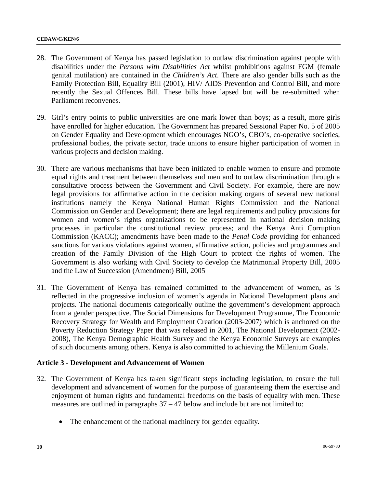- 28. The Government of Kenya has passed legislation to outlaw discrimination against people with disabilities under the *Persons with Disabilities Act* whilst prohibitions against FGM (female genital mutilation) are contained in the *Children's Act*. There are also gender bills such as the Family Protection Bill, Equality Bill (2001), HIV/ AIDS Prevention and Control Bill, and more recently the Sexual Offences Bill. These bills have lapsed but will be re-submitted when Parliament reconvenes.
- 29. Girl's entry points to public universities are one mark lower than boys; as a result, more girls have enrolled for higher education. The Government has prepared Sessional Paper No. 5 of 2005 on Gender Equality and Development which encourages NGO's, CBO's, co-operative societies, professional bodies, the private sector, trade unions to ensure higher participation of women in various projects and decision making.
- 30. There are various mechanisms that have been initiated to enable women to ensure and promote equal rights and treatment between themselves and men and to outlaw discrimination through a consultative process between the Government and Civil Society. For example, there are now legal provisions for affirmative action in the decision making organs of several new national institutions namely the Kenya National Human Rights Commission and the National Commission on Gender and Development; there are legal requirements and policy provisions for women and women's rights organizations to be represented in national decision making processes in particular the constitutional review process; and the Kenya Anti Corruption Commission (KACC); amendments have been made to the *Penal Code* providing for enhanced sanctions for various violations against women, affirmative action, policies and programmes and creation of the Family Division of the High Court to protect the rights of women. The Government is also working with Civil Society to develop the Matrimonial Property Bill, 2005 and the Law of Succession (Amendment) Bill, 2005
- 31. The Government of Kenya has remained committed to the advancement of women, as is reflected in the progressive inclusion of women's agenda in National Development plans and projects. The national documents categorically outline the government's development approach from a gender perspective. The Social Dimensions for Development Programme, The Economic Recovery Strategy for Wealth and Employment Creation (2003-2007) which is anchored on the Poverty Reduction Strategy Paper that was released in 2001, The National Development (2002- 2008), The Kenya Demographic Health Survey and the Kenya Economic Surveys are examples of such documents among others. Kenya is also committed to achieving the Millenium Goals.

# **Article 3 - Development and Advancement of Women**

- 32. The Government of Kenya has taken significant steps including legislation, to ensure the full development and advancement of women for the purpose of guaranteeing them the exercise and enjoyment of human rights and fundamental freedoms on the basis of equality with men. These measures are outlined in paragraphs 37 – 47 below and include but are not limited to:
	- The enhancement of the national machinery for gender equality.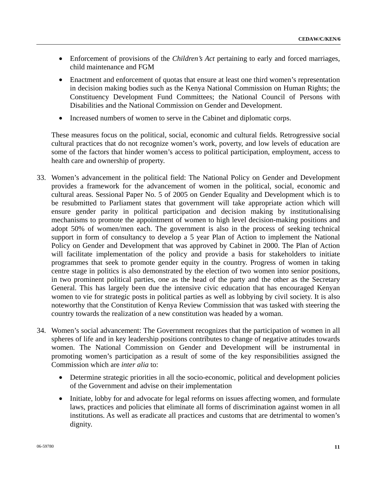- Enforcement of provisions of the *Children's Act* pertaining to early and forced marriages, child maintenance and FGM
- Enactment and enforcement of quotas that ensure at least one third women's representation in decision making bodies such as the Kenya National Commission on Human Rights; the Constituency Development Fund Committees; the National Council of Persons with Disabilities and the National Commission on Gender and Development.
- Increased numbers of women to serve in the Cabinet and diplomatic corps.

 These measures focus on the political, social, economic and cultural fields. Retrogressive social cultural practices that do not recognize women's work, poverty, and low levels of education are some of the factors that hinder women's access to political participation, employment, access to health care and ownership of property.

- 33. Women's advancement in the political field: The National Policy on Gender and Development provides a framework for the advancement of women in the political, social, economic and cultural areas. Sessional Paper No. 5 of 2005 on Gender Equality and Development which is to be resubmitted to Parliament states that government will take appropriate action which will ensure gender parity in political participation and decision making by institutionalising mechanisms to promote the appointment of women to high level decision-making positions and adopt 50% of women/men each. The government is also in the process of seeking technical support in form of consultancy to develop a 5 year Plan of Action to implement the National Policy on Gender and Development that was approved by Cabinet in 2000. The Plan of Action will facilitate implementation of the policy and provide a basis for stakeholders to initiate programmes that seek to promote gender equity in the country. Progress of women in taking centre stage in politics is also demonstrated by the election of two women into senior positions, in two prominent political parties, one as the head of the party and the other as the Secretary General. This has largely been due the intensive civic education that has encouraged Kenyan women to vie for strategic posts in political parties as well as lobbying by civil society. It is also noteworthy that the Constitution of Kenya Review Commission that was tasked with steering the country towards the realization of a new constitution was headed by a woman.
- 34. Women's social advancement: The Government recognizes that the participation of women in all spheres of life and in key leadership positions contributes to change of negative attitudes towards women. The National Commission on Gender and Development will be instrumental in promoting women's participation as a result of some of the key responsibilities assigned the Commission which are *inter alia* to:
	- Determine strategic priorities in all the socio-economic, political and development policies of the Government and advise on their implementation
	- Initiate, lobby for and advocate for legal reforms on issues affecting women, and formulate laws, practices and policies that eliminate all forms of discrimination against women in all institutions. As well as eradicate all practices and customs that are detrimental to women's dignity.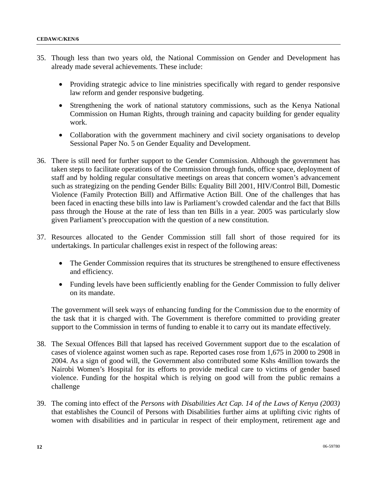- 35. Though less than two years old, the National Commission on Gender and Development has already made several achievements. These include:
	- Providing strategic advice to line ministries specifically with regard to gender responsive law reform and gender responsive budgeting.
	- Strengthening the work of national statutory commissions, such as the Kenya National Commission on Human Rights, through training and capacity building for gender equality work.
	- Collaboration with the government machinery and civil society organisations to develop Sessional Paper No. 5 on Gender Equality and Development.
- 36. There is still need for further support to the Gender Commission. Although the government has taken steps to facilitate operations of the Commission through funds, office space, deployment of staff and by holding regular consultative meetings on areas that concern women's advancement such as strategizing on the pending Gender Bills: Equality Bill 2001, HIV/Control Bill, Domestic Violence (Family Protection Bill) and Affirmative Action Bill. One of the challenges that has been faced in enacting these bills into law is Parliament's crowded calendar and the fact that Bills pass through the House at the rate of less than ten Bills in a year. 2005 was particularly slow given Parliament's preoccupation with the question of a new constitution.
- 37. Resources allocated to the Gender Commission still fall short of those required for its undertakings. In particular challenges exist in respect of the following areas:
	- The Gender Commission requires that its structures be strengthened to ensure effectiveness and efficiency.
	- Funding levels have been sufficiently enabling for the Gender Commission to fully deliver on its mandate.

 The government will seek ways of enhancing funding for the Commission due to the enormity of the task that it is charged with. The Government is therefore committed to providing greater support to the Commission in terms of funding to enable it to carry out its mandate effectively.

- 38. The Sexual Offences Bill that lapsed has received Government support due to the escalation of cases of violence against women such as rape. Reported cases rose from 1,675 in 2000 to 2908 in 2004. As a sign of good will, the Government also contributed some Kshs 4million towards the Nairobi Women's Hospital for its efforts to provide medical care to victims of gender based violence. Funding for the hospital which is relying on good will from the public remains a challenge
- 39. The coming into effect of the *Persons with Disabilities Act Cap. 14 of the Laws of Kenya (2003)* that establishes the Council of Persons with Disabilities further aims at uplifting civic rights of women with disabilities and in particular in respect of their employment, retirement age and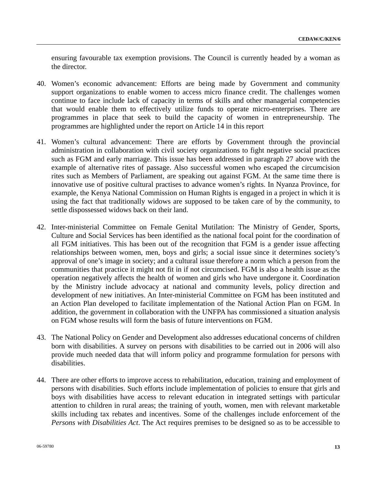ensuring favourable tax exemption provisions. The Council is currently headed by a woman as the director.

- 40. Women's economic advancement: Efforts are being made by Government and community support organizations to enable women to access micro finance credit. The challenges women continue to face include lack of capacity in terms of skills and other managerial competencies that would enable them to effectively utilize funds to operate micro-enterprises. There are programmes in place that seek to build the capacity of women in entrepreneurship. The programmes are highlighted under the report on Article 14 in this report
- 41. Women's cultural advancement: There are efforts by Government through the provincial administration in collaboration with civil society organizations to fight negative social practices such as FGM and early marriage. This issue has been addressed in paragraph 27 above with the example of alternative rites of passage. Also successful women who escaped the circumcision rites such as Members of Parliament, are speaking out against FGM. At the same time there is innovative use of positive cultural practises to advance women's rights. In Nyanza Province, for example, the Kenya National Commission on Human Rights is engaged in a project in which it is using the fact that traditionally widows are supposed to be taken care of by the community, to settle dispossessed widows back on their land.
- 42. Inter-ministerial Committee on Female Genital Mutilation: The Ministry of Gender, Sports, Culture and Social Services has been identified as the national focal point for the coordination of all FGM initiatives. This has been out of the recognition that FGM is a gender issue affecting relationships between women, men, boys and girls; a social issue since it determines society's approval of one's image in society; and a cultural issue therefore a norm which a person from the communities that practice it might not fit in if not circumcised. FGM is also a health issue as the operation negatively affects the health of women and girls who have undergone it. Coordination by the Ministry include advocacy at national and community levels, policy direction and development of new initiatives. An Inter-ministerial Committee on FGM has been instituted and an Action Plan developed to facilitate implementation of the National Action Plan on FGM. In addition, the government in collaboration with the UNFPA has commissioned a situation analysis on FGM whose results will form the basis of future interventions on FGM.
- 43. The National Policy on Gender and Development also addresses educational concerns of children born with disabilities. A survey on persons with disabilities to be carried out in 2006 will also provide much needed data that will inform policy and programme formulation for persons with disabilities.
- 44. There are other efforts to improve access to rehabilitation, education, training and employment of persons with disabilities. Such efforts include implementation of policies to ensure that girls and boys with disabilities have access to relevant education in integrated settings with particular attention to children in rural areas; the training of youth, women, men with relevant marketable skills including tax rebates and incentives. Some of the challenges include enforcement of the *Persons with Disabilities Act*. The Act requires premises to be designed so as to be accessible to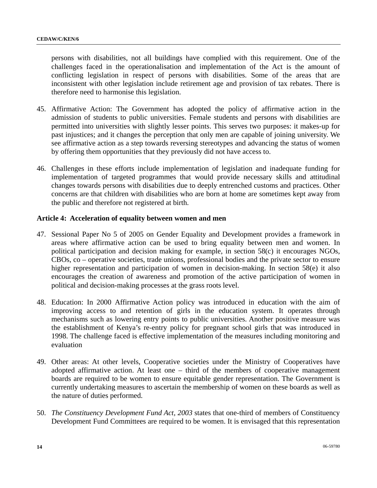persons with disabilities, not all buildings have complied with this requirement. One of the challenges faced in the operationalisation and implementation of the Act is the amount of conflicting legislation in respect of persons with disabilities. Some of the areas that are inconsistent with other legislation include retirement age and provision of tax rebates. There is therefore need to harmonise this legislation.

- 45. Affirmative Action: The Government has adopted the policy of affirmative action in the admission of students to public universities. Female students and persons with disabilities are permitted into universities with slightly lesser points. This serves two purposes: it makes-up for past injustices; and it changes the perception that only men are capable of joining university. We see affirmative action as a step towards reversing stereotypes and advancing the status of women by offering them opportunities that they previously did not have access to.
- 46. Challenges in these efforts include implementation of legislation and inadequate funding for implementation of targeted programmes that would provide necessary skills and attitudinal changes towards persons with disabilities due to deeply entrenched customs and practices. Other concerns are that children with disabilities who are born at home are sometimes kept away from the public and therefore not registered at birth.

## **Article 4: Acceleration of equality between women and men**

- 47. Sessional Paper No 5 of 2005 on Gender Equality and Development provides a framework in areas where affirmative action can be used to bring equality between men and women. In political participation and decision making for example, in section 58(c) it encourages NGOs, CBOs, co – operative societies, trade unions, professional bodies and the private sector to ensure higher representation and participation of women in decision-making. In section 58(e) it also encourages the creation of awareness and promotion of the active participation of women in political and decision-making processes at the grass roots level.
- 48. Education: In 2000 Affirmative Action policy was introduced in education with the aim of improving access to and retention of girls in the education system. It operates through mechanisms such as lowering entry points to public universities. Another positive measure was the establishment of Kenya's re-entry policy for pregnant school girls that was introduced in 1998. The challenge faced is effective implementation of the measures including monitoring and evaluation
- 49. Other areas: At other levels, Cooperative societies under the Ministry of Cooperatives have adopted affirmative action. At least one – third of the members of cooperative management boards are required to be women to ensure equitable gender representation. The Government is currently undertaking measures to ascertain the membership of women on these boards as well as the nature of duties performed.
- 50. *The Constituency Development Fund Act, 2003* states that one-third of members of Constituency Development Fund Committees are required to be women. It is envisaged that this representation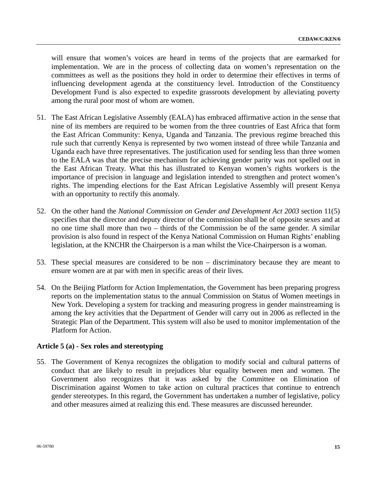will ensure that women's voices are heard in terms of the projects that are earmarked for implementation. We are in the process of collecting data on women's representation on the committees as well as the positions they hold in order to determine their effectives in terms of influencing development agenda at the constituency level. Introduction of the Constituency Development Fund is also expected to expedite grassroots development by alleviating poverty among the rural poor most of whom are women.

- 51. The East African Legislative Assembly (EALA) has embraced affirmative action in the sense that nine of its members are required to be women from the three countries of East Africa that form the East African Community: Kenya, Uganda and Tanzania. The previous regime breached this rule such that currently Kenya is represented by two women instead of three while Tanzania and Uganda each have three representatives. The justification used for sending less than three women to the EALA was that the precise mechanism for achieving gender parity was not spelled out in the East African Treaty. What this has illustrated to Kenyan women's rights workers is the importance of precision in language and legislation intended to strengthen and protect women's rights. The impending elections for the East African Legislative Assembly will present Kenya with an opportunity to rectify this anomaly.
- 52. On the other hand the *National Commission on Gender and Development Act 2003* section 11(5) specifies that the director and deputy director of the commission shall be of opposite sexes and at no one time shall more than two – thirds of the Commission be of the same gender. A similar provision is also found in respect of the Kenya National Commission on Human Rights' enabling legislation, at the KNCHR the Chairperson is a man whilst the Vice-Chairperson is a woman.
- 53. These special measures are considered to be non discriminatory because they are meant to ensure women are at par with men in specific areas of their lives.
- 54. On the Beijing Platform for Action Implementation, the Government has been preparing progress reports on the implementation status to the annual Commission on Status of Women meetings in New York. Developing a system for tracking and measuring progress in gender mainstreaming is among the key activities that the Department of Gender will carry out in 2006 as reflected in the Strategic Plan of the Department. This system will also be used to monitor implementation of the Platform for Action.

## **Article 5 (a) - Sex roles and stereotyping**

55. The Government of Kenya recognizes the obligation to modify social and cultural patterns of conduct that are likely to result in prejudices blur equality between men and women. The Government also recognizes that it was asked by the Committee on Elimination of Discrimination against Women to take action on cultural practices that continue to entrench gender stereotypes. In this regard, the Government has undertaken a number of legislative, policy and other measures aimed at realizing this end. These measures are discussed hereunder.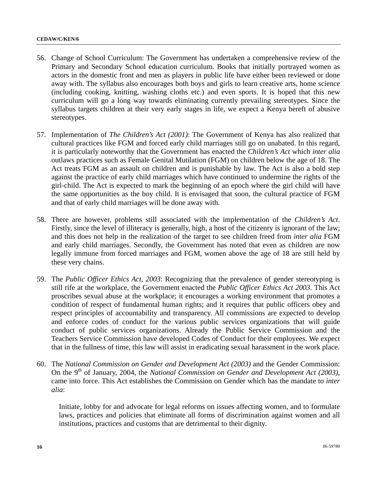- 56. Change of School Curriculum: The Government has undertaken a comprehensive review of the Primary and Secondary School education curriculum. Books that initially portrayed women as actors in the domestic front and men as players in public life have either been reviewed or done away with. The syllabus also encourages both boys and girls to learn creative arts, home science (including cooking, knitting, washing cloths etc.) and even sports. It is hoped that this new curriculum will go a long way towards eliminating currently prevailing stereotypes. Since the syllabus targets children at their very early stages in life, we expect a Kenya bereft of abusive stereotypes.
- 57. Implementation of *The Children's Act (2001)*: The Government of Kenya has also realized that cultural practices like FGM and forced early child marriages still go on unabated. In this regard, it is particularly noteworthy that the Government has enacted the *Children's Act* which *inter alia* outlaws practices such as Female Genital Mutilation (FGM) on children below the age of 18. The Act treats FGM as an assault on children and is punishable by law. The Act is also a bold step against the practice of early child marriages which have continued to undermine the rights of the girl-child. The Act is expected to mark the beginning of an epoch where the girl child will have the same opportunities as the boy child. It is envisaged that soon, the cultural practice of FGM and that of early child marriages will be done away with.
- 58. There are however, problems still associated with the implementation of the *Children's Act*. Firstly, since the level of illiteracy is generally, high, a host of the citizenry is ignorant of the law; and this does not help in the realization of the target to see children freed from *inter alia* FGM and early child marriages. Secondly, the Government has noted that even as children are now legally immune from forced marriages and FGM, women above the age of 18 are still held by these very chains.
- 59. The *Public Officer Ethics Act, 2003*: Recognizing that the prevalence of gender stereotyping is still rife at the workplace, the Government enacted the *Public Officer Ethics Act 2003*. This Act proscribes sexual abuse at the workplace; it encourages a working environment that promotes a condition of respect of fundamental human rights; and it requires that public officers obey and respect principles of accountability and transparency. All commissions are expected to develop and enforce codes of conduct for the various public services organizations that will guide conduct of public services organizations. Already the Public Service Commission and the Teachers Service Commission have developed Codes of Conduct for their employees. We expect that in the fullness of time, this law will assist in eradicating sexual harassment in the work place.
- 60. The *National Commission on Gender and Development Act (2003)* and the Gender Commission: On the 9<sup>th</sup> of January, 2004, the *National Commission on Gender and Development Act (2003)*, came into force. This Act establishes the Commission on Gender which has the mandate to *inter alia*:

Initiate, lobby for and advocate for legal reforms on issues affecting women, and to formulate laws, practices and policies that eliminate all forms of discrimination against women and all institutions, practices and customs that are detrimental to their dignity.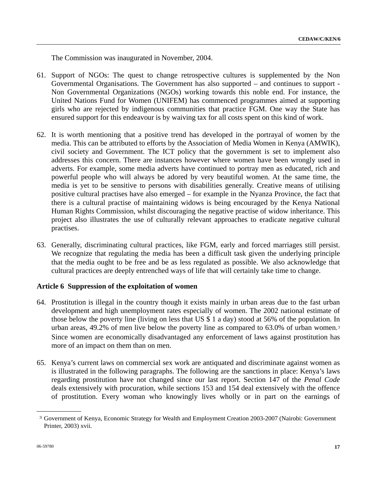The Commission was inaugurated in November, 2004.

- 61. Support of NGOs: The quest to change retrospective cultures is supplemented by the Non Governmental Organisations. The Government has also supported – and continues to support - Non Governmental Organizations (NGOs) working towards this noble end. For instance, the United Nations Fund for Women (UNIFEM) has commenced programmes aimed at supporting girls who are rejected by indigenous communities that practice FGM. One way the State has ensured support for this endeavour is by waiving tax for all costs spent on this kind of work.
- 62. It is worth mentioning that a positive trend has developed in the portrayal of women by the media. This can be attributed to efforts by the Association of Media Women in Kenya (AMWIK), civil society and Government. The ICT policy that the government is set to implement also addresses this concern. There are instances however where women have been wrongly used in adverts. For example, some media adverts have continued to portray men as educated, rich and powerful people who will always be adored by very beautiful women. At the same time, the media is yet to be sensitive to persons with disabilities generally. Creative means of utilising positive cultural practises have also emerged – for example in the Nyanza Province, the fact that there is a cultural practise of maintaining widows is being encouraged by the Kenya National Human Rights Commission, whilst discouraging the negative practise of widow inheritance. This project also illustrates the use of culturally relevant approaches to eradicate negative cultural practises.
- 63. Generally, discriminating cultural practices, like FGM, early and forced marriages still persist. We recognize that regulating the media has been a difficult task given the underlying principle that the media ought to be free and be as less regulated as possible. We also acknowledge that cultural practices are deeply entrenched ways of life that will certainly take time to change.

## **Article 6 Suppression of the exploitation of women**

- 64. Prostitution is illegal in the country though it exists mainly in urban areas due to the fast urban development and high unemployment rates especially of women. The 2002 national estimate of those below the poverty line (living on less that US \$ 1 a day) stood at 56% of the population. In urban areas, 49.2% of men live below the poverty line as compared to 63.0% of urban women.[3](#page-16-0) Since women are economically disadvantaged any enforcement of laws against prostitution has more of an impact on them than on men.
- 65. Kenya's current laws on commercial sex work are antiquated and discriminate against women as is illustrated in the following paragraphs. The following are the sanctions in place: Kenya's laws regarding prostitution have not changed since our last report. Section 147 of the *Penal Code* deals extensively with procuration, while sections 153 and 154 deal extensively with the offence of prostitution. Every woman who knowingly lives wholly or in part on the earnings of

<span id="page-16-0"></span>**\_\_\_\_\_\_\_\_\_\_\_\_\_\_\_\_\_\_** 

<sup>3</sup> Government of Kenya, Economic Strategy for Wealth and Employment Creation 2003-2007 (Nairobi: Government Printer, 2003) xvii.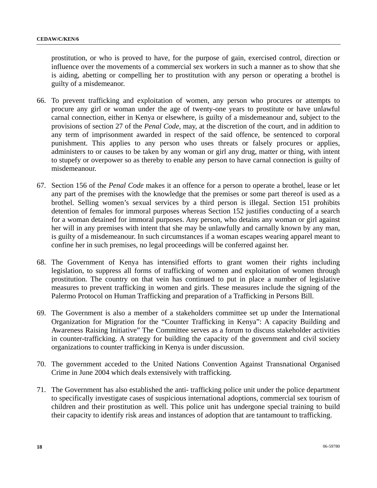prostitution, or who is proved to have, for the purpose of gain, exercised control, direction or influence over the movements of a commercial sex workers in such a manner as to show that she is aiding, abetting or compelling her to prostitution with any person or operating a brothel is guilty of a misdemeanor.

- 66. To prevent trafficking and exploitation of women, any person who procures or attempts to procure any girl or woman under the age of twenty-one years to prostitute or have unlawful carnal connection, either in Kenya or elsewhere, is guilty of a misdemeanour and, subject to the provisions of section 27 of the *Penal Code*, may, at the discretion of the court, and in addition to any term of imprisonment awarded in respect of the said offence, be sentenced to corporal punishment. This applies to any person who uses threats or falsely procures or applies, administers to or causes to be taken by any woman or girl any drug, matter or thing, with intent to stupefy or overpower so as thereby to enable any person to have carnal connection is guilty of misdemeanour.
- 67. Section 156 of the *Penal Code* makes it an offence for a person to operate a brothel, lease or let any part of the premises with the knowledge that the premises or some part thereof is used as a brothel. Selling women's sexual services by a third person is illegal. Section 151 prohibits detention of females for immoral purposes whereas Section 152 justifies conducting of a search for a woman detained for immoral purposes. Any person, who detains any woman or girl against her will in any premises with intent that she may be unlawfully and carnally known by any man, is guilty of a misdemeanour. In such circumstances if a woman escapes wearing apparel meant to confine her in such premises, no legal proceedings will be conferred against her.
- 68. The Government of Kenya has intensified efforts to grant women their rights including legislation, to suppress all forms of trafficking of women and exploitation of women through prostitution. The country on that vein has continued to put in place a number of legislative measures to prevent trafficking in women and girls. These measures include the signing of the Palermo Protocol on Human Trafficking and preparation of a Trafficking in Persons Bill.
- 69. The Government is also a member of a stakeholders committee set up under the International Organization for Migration for the "Counter Trafficking in Kenya": A capacity Building and Awareness Raising Initiative" The Committee serves as a forum to discuss stakeholder activities in counter-trafficking. A strategy for building the capacity of the government and civil society organizations to counter trafficking in Kenya is under discussion.
- 70. The government acceded to the United Nations Convention Against Transnational Organised Crime in June 2004 which deals extensively with trafficking.
- 71. The Government has also established the anti- trafficking police unit under the police department to specifically investigate cases of suspicious international adoptions, commercial sex tourism of children and their prostitution as well. This police unit has undergone special training to build their capacity to identify risk areas and instances of adoption that are tantamount to trafficking.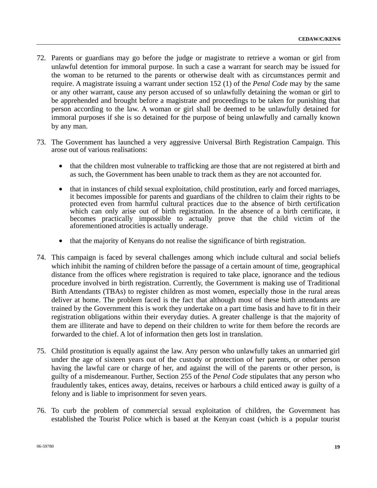- 72. Parents or guardians may go before the judge or magistrate to retrieve a woman or girl from unlawful detention for immoral purpose. In such a case a warrant for search may be issued for the woman to be returned to the parents or otherwise dealt with as circumstances permit and require. A magistrate issuing a warrant under section 152 (1) of the *Penal Code* may by the same or any other warrant, cause any person accused of so unlawfully detaining the woman or girl to be apprehended and brought before a magistrate and proceedings to be taken for punishing that person according to the law. A woman or girl shall be deemed to be unlawfully detained for immoral purposes if she is so detained for the purpose of being unlawfully and carnally known by any man.
- 73. The Government has launched a very aggressive Universal Birth Registration Campaign. This arose out of various realisations:
	- that the children most vulnerable to trafficking are those that are not registered at birth and as such, the Government has been unable to track them as they are not accounted for.
	- that in instances of child sexual exploitation, child prostitution, early and forced marriages, it becomes impossible for parents and guardians of the children to claim their rights to be protected even from harmful cultural practices due to the absence of birth certification which can only arise out of birth registration. In the absence of a birth certificate, it becomes practically impossible to actually prove that the child victim of the aforementioned atrocities is actually underage.
	- that the majority of Kenyans do not realise the significance of birth registration.
- 74. This campaign is faced by several challenges among which include cultural and social beliefs which inhibit the naming of children before the passage of a certain amount of time, geographical distance from the offices where registration is required to take place, ignorance and the tedious procedure involved in birth registration. Currently, the Government is making use of Traditional Birth Attendants (TBAs) to register children as most women, especially those in the rural areas deliver at home. The problem faced is the fact that although most of these birth attendants are trained by the Government this is work they undertake on a part time basis and have to fit in their registration obligations within their everyday duties. A greater challenge is that the majority of them are illiterate and have to depend on their children to write for them before the records are forwarded to the chief. A lot of information then gets lost in translation.
- 75. Child prostitution is equally against the law. Any person who unlawfully takes an unmarried girl under the age of sixteen years out of the custody or protection of her parents, or other person having the lawful care or charge of her, and against the will of the parents or other person, is guilty of a misdemeanour. Further, Section 255 of the *Penal Code* stipulates that any person who fraudulently takes, entices away, detains, receives or harbours a child enticed away is guilty of a felony and is liable to imprisonment for seven years.
- 76. To curb the problem of commercial sexual exploitation of children, the Government has established the Tourist Police which is based at the Kenyan coast (which is a popular tourist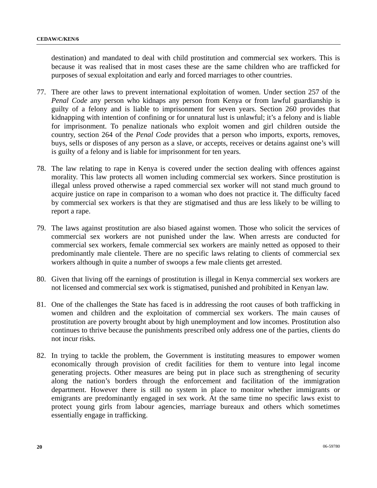destination) and mandated to deal with child prostitution and commercial sex workers. This is because it was realised that in most cases these are the same children who are trafficked for purposes of sexual exploitation and early and forced marriages to other countries.

- 77. There are other laws to prevent international exploitation of women. Under section 257 of the *Penal Code* any person who kidnaps any person from Kenya or from lawful guardianship is guilty of a felony and is liable to imprisonment for seven years. Section 260 provides that kidnapping with intention of confining or for unnatural lust is unlawful; it's a felony and is liable for imprisonment. To penalize nationals who exploit women and girl children outside the country, section 264 of the *Penal Code* provides that a person who imports, exports, removes, buys, sells or disposes of any person as a slave, or accepts, receives or detains against one's will is guilty of a felony and is liable for imprisonment for ten years.
- 78. The law relating to rape in Kenya is covered under the section dealing with offences against morality. This law protects all women including commercial sex workers. Since prostitution is illegal unless proved otherwise a raped commercial sex worker will not stand much ground to acquire justice on rape in comparison to a woman who does not practice it. The difficulty faced by commercial sex workers is that they are stigmatised and thus are less likely to be willing to report a rape.
- 79. The laws against prostitution are also biased against women. Those who solicit the services of commercial sex workers are not punished under the law. When arrests are conducted for commercial sex workers, female commercial sex workers are mainly netted as opposed to their predominantly male clientele. There are no specific laws relating to clients of commercial sex workers although in quite a number of swoops a few male clients get arrested.
- 80. Given that living off the earnings of prostitution is illegal in Kenya commercial sex workers are not licensed and commercial sex work is stigmatised, punished and prohibited in Kenyan law.
- 81. One of the challenges the State has faced is in addressing the root causes of both trafficking in women and children and the exploitation of commercial sex workers. The main causes of prostitution are poverty brought about by high unemployment and low incomes. Prostitution also continues to thrive because the punishments prescribed only address one of the parties, clients do not incur risks.
- 82. In trying to tackle the problem, the Government is instituting measures to empower women economically through provision of credit facilities for them to venture into legal income generating projects. Other measures are being put in place such as strengthening of security along the nation's borders through the enforcement and facilitation of the immigration department. However there is still no system in place to monitor whether immigrants or emigrants are predominantly engaged in sex work. At the same time no specific laws exist to protect young girls from labour agencies, marriage bureaux and others which sometimes essentially engage in trafficking.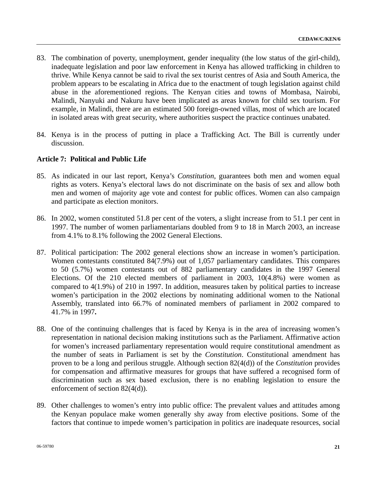- 83. The combination of poverty, unemployment, gender inequality (the low status of the girl-child), inadequate legislation and poor law enforcement in Kenya has allowed trafficking in children to thrive. While Kenya cannot be said to rival the sex tourist centres of Asia and South America, the problem appears to be escalating in Africa due to the enactment of tough legislation against child abuse in the aforementioned regions. The Kenyan cities and towns of Mombasa, Nairobi, Malindi, Nanyuki and Nakuru have been implicated as areas known for child sex tourism. For example, in Malindi, there are an estimated 500 foreign-owned villas, most of which are located in isolated areas with great security, where authorities suspect the practice continues unabated.
- 84. Kenya is in the process of putting in place a Trafficking Act. The Bill is currently under discussion.

## **Article 7: Political and Public Life**

- 85. As indicated in our last report, Kenya's *Constitution*, guarantees both men and women equal rights as voters. Kenya's electoral laws do not discriminate on the basis of sex and allow both men and women of majority age vote and contest for public offices. Women can also campaign and participate as election monitors.
- 86. In 2002, women constituted 51.8 per cent of the voters, a slight increase from to 51.1 per cent in 1997. The number of women parliamentarians doubled from 9 to 18 in March 2003, an increase from 4.1% to 8.1% following the 2002 General Elections.
- 87. Political participation: The 2002 general elections show an increase in women's participation. Women contestants constituted 84(7.9%) out of 1,057 parliamentary candidates. This compares to 50 (5.7%) women contestants out of 882 parliamentary candidates in the 1997 General Elections. Of the 210 elected members of parliament in 2003, 10(4.8%) were women as compared to 4(1.9%) of 210 in 1997. In addition, measures taken by political parties to increase women's participation in the 2002 elections by nominating additional women to the National Assembly, translated into 66.7% of nominated members of parliament in 2002 compared to 41.7% in 1997**.**
- 88. One of the continuing challenges that is faced by Kenya is in the area of increasing women's representation in national decision making institutions such as the Parliament. Affirmative action for women's increased parliamentary representation would require constitutional amendment as the number of seats in Parliament is set by the *Constitution*. Constitutional amendment has proven to be a long and perilous struggle. Although section 82(4(d)) of the *Constitution* provides for compensation and affirmative measures for groups that have suffered a recognised form of discrimination such as sex based exclusion, there is no enabling legislation to ensure the enforcement of section 82(4(d)).
- 89. Other challenges to women's entry into public office: The prevalent values and attitudes among the Kenyan populace make women generally shy away from elective positions. Some of the factors that continue to impede women's participation in politics are inadequate resources, social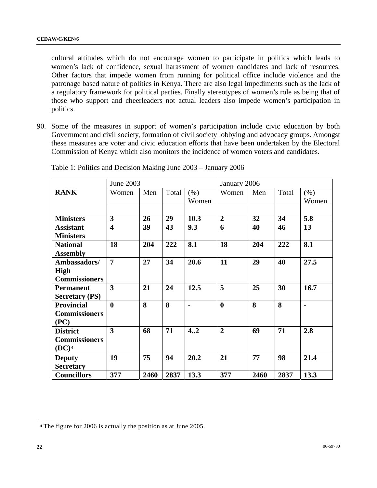cultural attitudes which do not encourage women to participate in politics which leads to women's lack of confidence, sexual harassment of women candidates and lack of resources. Other factors that impede women from running for political office include violence and the patronage based nature of politics in Kenya. There are also legal impediments such as the lack of a regulatory framework for political parties. Finally stereotypes of women's role as being that of those who support and cheerleaders not actual leaders also impede women's participation in politics.

90. Some of the measures in support of women's participation include civic education by both Government and civil society, formation of civil society lobbying and advocacy groups. Amongst these measures are voter and civic education efforts that have been undertaken by the Electoral Commission of Kenya which also monitors the incidence of women voters and candidates.

|                       | June 2003               |      |       |                | January 2006   |      |       |       |
|-----------------------|-------------------------|------|-------|----------------|----------------|------|-------|-------|
| <b>RANK</b>           | Women                   | Men  | Total | (% )           | Women          | Men  | Total | (% )  |
|                       |                         |      |       | Women          |                |      |       | Women |
|                       |                         |      |       |                |                |      |       |       |
| <b>Ministers</b>      | 3                       | 26   | 29    | 10.3           | $\overline{2}$ | 32   | 34    | 5.8   |
| <b>Assistant</b>      | $\overline{\mathbf{4}}$ | 39   | 43    | 9.3            | 6              | 40   | 46    | 13    |
| <b>Ministers</b>      |                         |      |       |                |                |      |       |       |
| <b>National</b>       | 18                      | 204  | 222   | 8.1            | 18             | 204  | 222   | 8.1   |
| <b>Assembly</b>       |                         |      |       |                |                |      |       |       |
| Ambassadors/          | $\overline{7}$          | 27   | 34    | 20.6           | 11             | 29   | 40    | 27.5  |
| <b>High</b>           |                         |      |       |                |                |      |       |       |
| <b>Commissioners</b>  |                         |      |       |                |                |      |       |       |
| <b>Permanent</b>      | 3                       | 21   | 24    | 12.5           | 5              | 25   | 30    | 16.7  |
| <b>Secretary (PS)</b> |                         |      |       |                |                |      |       |       |
| <b>Provincial</b>     | $\mathbf{0}$            | 8    | 8     | $\blacksquare$ | $\mathbf{0}$   | 8    | 8     |       |
| <b>Commissioners</b>  |                         |      |       |                |                |      |       |       |
| (PC)                  |                         |      |       |                |                |      |       |       |
| <b>District</b>       | $\overline{\mathbf{3}}$ | 68   | 71    | 4.2            | $\overline{2}$ | 69   | 71    | 2.8   |
| <b>Commissioners</b>  |                         |      |       |                |                |      |       |       |
| $(DC)^4$              |                         |      |       |                |                |      |       |       |
| <b>Deputy</b>         | 19                      | 75   | 94    | 20.2           | 21             | 77   | 98    | 21.4  |
| <b>Secretary</b>      |                         |      |       |                |                |      |       |       |
| <b>Councillors</b>    | 377                     | 2460 | 2837  | 13.3           | 377            | 2460 | 2837  | 13.3  |

Table 1: Politics and Decision Making June 2003 – January 2006

<span id="page-21-0"></span>**\_\_\_\_\_\_\_\_\_\_\_\_\_\_\_\_\_\_** 

<sup>4</sup> The figure for 2006 is actually the position as at June 2005.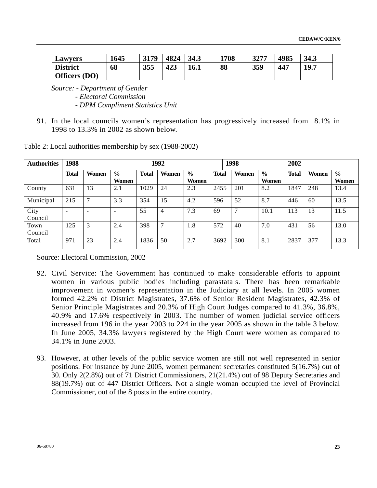| <b>Lawvers</b>  | 1645 | 3179 | 4824 | 34.3 | 1708 | 3277 | 4985 | 34.3 |
|-----------------|------|------|------|------|------|------|------|------|
| <b>District</b> | 68   | 355  | 423  | 16.1 | 88   | 359  | 447  | 19.7 |
| Officers (DO)   |      |      |      |      |      |      |      |      |

 *Source: - Department of Gender - Electoral Commission - DPM Compliment Statistics Unit* 

91. In the local councils women's representation has progressively increased from 8.1% in 1998 to 13.3% in 2002 as shown below.

| <b>Authorities</b> | 1988                     |                          |                          |              | 1992          |                        |              | 1998          |                        | 2002         |       |                        |
|--------------------|--------------------------|--------------------------|--------------------------|--------------|---------------|------------------------|--------------|---------------|------------------------|--------------|-------|------------------------|
|                    | <b>Total</b>             | Women                    | $\frac{0}{0}$<br>Women   | <b>Total</b> | Women         | $\frac{6}{9}$<br>Women | <b>Total</b> | Women         | $\frac{0}{0}$<br>Women | <b>Total</b> | Women | $\frac{0}{0}$<br>Women |
| County             | 631                      | 13                       | 2.1                      | 1029         | 24            | 2.3                    | 2455         | 201           | 8.2                    | 1847         | 248   | 13.4                   |
| Municipal          | 215                      | $\overline{7}$           | 3.3                      | 354          | 15            | 4.2                    | 596          | 52            | 8.7                    | 446          | 60    | 13.5                   |
| City<br>Council    | $\overline{\phantom{0}}$ | $\overline{\phantom{0}}$ | $\overline{\phantom{a}}$ | 55           | 4             | 7.3                    | 69           | $\mathcal{L}$ | 10.1                   | 113          | 13    | 11.5                   |
| Town<br>Council    | 125                      | 3                        | 2.4                      | 398          | $\mathcal{I}$ | 1.8                    | 572          | 40            | 7.0                    | 431          | 56    | 13.0                   |
| Total              | 971                      | 23                       | 2.4                      | 1836         | 50            | 2.7                    | 3692         | 300           | 8.1                    | 2837         | 377   | 13.3                   |

Table 2: Local authorities membership by sex (1988-2002)

Source: Electoral Commission, 2002

- 92. Civil Service: The Government has continued to make considerable efforts to appoint women in various public bodies including parastatals. There has been remarkable improvement in women's representation in the Judiciary at all levels. In 2005 women formed 42.2% of District Magistrates, 37.6% of Senior Resident Magistrates, 42.3% of Senior Principle Magistrates and 20.3% of High Court Judges compared to 41.3%, 36.8%, 40.9% and 17.6% respectively in 2003. The number of women judicial service officers increased from 196 in the year 2003 to 224 in the year 2005 as shown in the table 3 below. In June 2005, 34.3% lawyers registered by the High Court were women as compared to 34.1% in June 2003.
- 93. However, at other levels of the public service women are still not well represented in senior positions. For instance by June 2005, women permanent secretaries constituted 5(16.7%) out of 30. Only 2(2.8%) out of 71 District Commissioners, 21(21.4%) out of 98 Deputy Secretaries and 88(19.7%) out of 447 District Officers. Not a single woman occupied the level of Provincial Commissioner, out of the 8 posts in the entire country.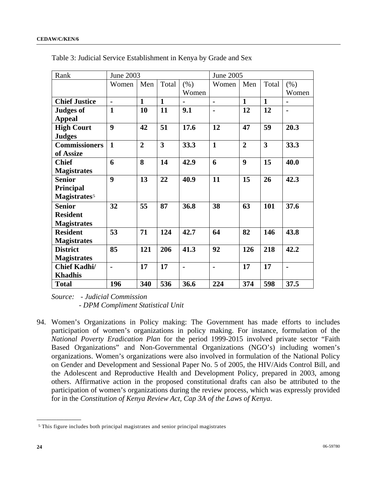| Rank                     | June 2003        |                |                         |                | June 2005                |                |                         |                |
|--------------------------|------------------|----------------|-------------------------|----------------|--------------------------|----------------|-------------------------|----------------|
|                          | Women            | Men            | Total                   | (% )           | Women                    | Men            | Total                   | (% )           |
|                          |                  |                |                         | Women          |                          |                |                         | Women          |
| <b>Chief Justice</b>     | $\blacksquare$   | $\mathbf{1}$   | $\mathbf{1}$            |                | $\overline{\phantom{0}}$ | $\mathbf{1}$   | $\mathbf{1}$            |                |
| <b>Judges of</b>         | $\mathbf{1}$     | 10             | 11                      | 9.1            | $\blacksquare$           | 12             | 12                      | $\blacksquare$ |
| <b>Appeal</b>            |                  |                |                         |                |                          |                |                         |                |
| <b>High Court</b>        | $\boldsymbol{9}$ | 42             | 51                      | 17.6           | 12                       | 47             | 59                      | 20.3           |
| <b>Judges</b>            |                  |                |                         |                |                          |                |                         |                |
| <b>Commissioners</b>     | $\mathbf{1}$     | $\overline{2}$ | $\overline{\mathbf{3}}$ | 33.3           | $\mathbf{1}$             | $\overline{2}$ | $\overline{\mathbf{3}}$ | 33.3           |
| of Assize                |                  |                |                         |                |                          |                |                         |                |
| <b>Chief</b>             | 6                | 8              | 14                      | 42.9           | 6                        | 9              | 15                      | 40.0           |
| <b>Magistrates</b>       |                  |                |                         |                |                          |                |                         |                |
| <b>Senior</b>            | $\boldsymbol{9}$ | 13             | 22                      | 40.9           | 11                       | 15             | 26                      | 42.3           |
| Principal                |                  |                |                         |                |                          |                |                         |                |
| Magistrates <sup>5</sup> |                  |                |                         |                |                          |                |                         |                |
| <b>Senior</b>            | 32               | 55             | 87                      | 36.8           | 38                       | 63             | 101                     | 37.6           |
| <b>Resident</b>          |                  |                |                         |                |                          |                |                         |                |
| <b>Magistrates</b>       |                  |                |                         |                |                          |                |                         |                |
| <b>Resident</b>          | 53               | 71             | 124                     | 42.7           | 64                       | 82             | 146                     | 43.8           |
| <b>Magistrates</b>       |                  |                |                         |                |                          |                |                         |                |
| <b>District</b>          | 85               | 121            | 206                     | 41.3           | 92                       | 126            | 218                     | 42.2           |
| <b>Magistrates</b>       |                  |                |                         |                |                          |                |                         |                |
| <b>Chief Kadhi/</b>      | $\blacksquare$   | 17             | 17                      | $\blacksquare$ | $\blacksquare$           | 17             | 17                      | $\blacksquare$ |
| <b>Khadhis</b>           |                  |                |                         |                |                          |                |                         |                |
| <b>Total</b>             | 196              | 340            | 536                     | 36.6           | 224                      | 374            | 598                     | 37.5           |

Table 3: Judicial Service Establishment in Kenya by Grade and Sex

 *Source: - Judicial Commission - DPM Compliment Statistical Unit* 

94. Women's Organizations in Policy making: The Government has made efforts to includes participation of women's organizations in policy making. For instance, formulation of the *National Poverty Eradication Plan* for the period 1999-2015 involved private sector "Faith Based Organizations" and Non-Governmental Organizations (NGO's) including women's organizations. Women's organizations were also involved in formulation of the National Policy on Gender and Development and Sessional Paper No. 5 of 2005, the HIV/Aids Control Bill, and the Adolescent and Reproductive Health and Development Policy, prepared in 2003, among others. Affirmative action in the proposed constitutional drafts can also be attributed to the participation of women's organizations during the review process, which was expressly provided for in the *Constitution of Kenya Review Act, Cap 3A of the Laws of Kenya*.

**\_\_\_\_\_\_\_\_\_\_\_\_\_\_\_\_\_\_** 

<span id="page-23-0"></span><sup>5</sup> This figure includes both principal magistrates and senior principal magistrates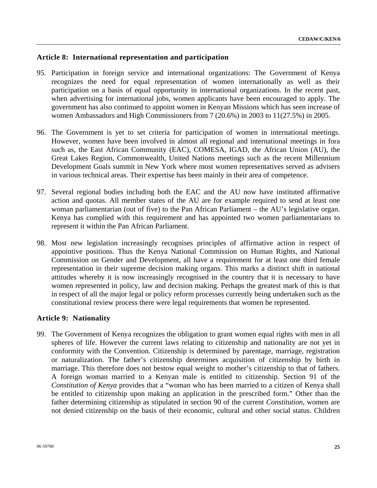# **Article 8: International representation and participation**

- 95. Participation in foreign service and international organizations: The Government of Kenya recognizes the need for equal representation of women internationally as well as their participation on a basis of equal opportunity in international organizations. In the recent past, when advertising for international jobs, women applicants have been encouraged to apply. The government has also continued to appoint women in Kenyan Missions which has seen increase of women Ambassadors and High Commissioners from 7 (20.6%) in 2003 to 11(27.5%) in 2005.
- 96. The Government is yet to set criteria for participation of women in international meetings. However, women have been involved in almost all regional and international meetings in fora such as, the East African Community (EAC), COMESA, IGAD, the African Union (AU), the Great Lakes Region, Commonwealth, United Nations meetings such as the recent Millennium Development Goals summit in New York where most women representatives served as advisers in various technical areas. Their expertise has been mainly in their area of competence.
- 97. Several regional bodies including both the EAC and the AU now have instituted affirmative action and quotas. All member states of the AU are for example required to send at least one woman parliamentarian (out of five) to the Pan African Parliament – the AU's legislative organ. Kenya has complied with this requirement and has appointed two women parliamentarians to represent it within the Pan African Parliament.
- 98. Most new legislation increasingly recognises principles of affirmative action in respect of appointive positions. Thus the Kenya National Commission on Human Rights, and National Commission on Gender and Development, all have a requirement for at least one third female representation in their supreme decision making organs. This marks a distinct shift in national attitudes whereby it is now increasingly recognised in the country that it is necessary to have women represented in policy, law and decision making. Perhaps the greatest mark of this is that in respect of all the major legal or policy reform processes currently being undertaken such as the constitutional review process there were legal requirements that women be represented.

## **Article 9: Nationality**

99. The Government of Kenya recognizes the obligation to grant women equal rights with men in all spheres of life. However the current laws relating to citizenship and nationality are not yet in conformity with the Convention. Citizenship is determined by parentage, marriage, registration or naturalization. The father's citizenship determines acquisition of citizenship by birth in marriage. This therefore does not bestow equal weight to mother's citizenship to that of fathers. A foreign woman married to a Kenyan male is entitled to citizenship. Section 91 of the *Constitution of Kenya* provides that a "woman who has been married to a citizen of Kenya shall be entitled to citizenship upon making an application in the prescribed form." Other than the father determining citizenship as stipulated in section 90 of the current *Constitution*, women are not denied citizenship on the basis of their economic, cultural and other social status. Children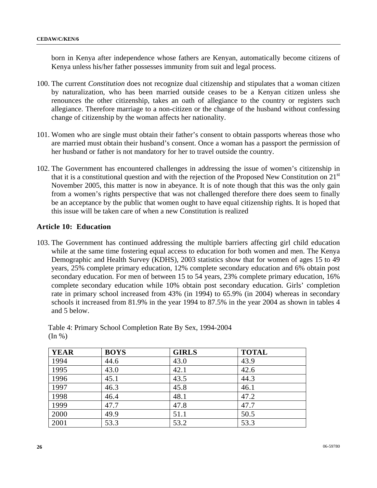born in Kenya after independence whose fathers are Kenyan, automatically become citizens of Kenya unless his/her father possesses immunity from suit and legal process.

- 100. The current *Constitution* does not recognize dual citizenship and stipulates that a woman citizen by naturalization, who has been married outside ceases to be a Kenyan citizen unless she renounces the other citizenship, takes an oath of allegiance to the country or registers such allegiance. Therefore marriage to a non-citizen or the change of the husband without confessing change of citizenship by the woman affects her nationality.
- 101. Women who are single must obtain their father's consent to obtain passports whereas those who are married must obtain their husband's consent. Once a woman has a passport the permission of her husband or father is not mandatory for her to travel outside the country.
- 102. The Government has encountered challenges in addressing the issue of women's citizenship in that it is a constitutional question and with the rejection of the Proposed New Constitution on  $21<sup>st</sup>$ November 2005, this matter is now in abeyance. It is of note though that this was the only gain from a women's rights perspective that was not challenged therefore there does seem to finally be an acceptance by the public that women ought to have equal citizenship rights. It is hoped that this issue will be taken care of when a new Constitution is realized

# **Article 10: Education**

103. The Government has continued addressing the multiple barriers affecting girl child education while at the same time fostering equal access to education for both women and men. The Kenya Demographic and Health Survey (KDHS), 2003 statistics show that for women of ages 15 to 49 years, 25% complete primary education, 12% complete secondary education and 6% obtain post secondary education. For men of between 15 to 54 years, 23% complete primary education, 16% complete secondary education while 10% obtain post secondary education. Girls' completion rate in primary school increased from 43% (in 1994) to 65.9% (in 2004) whereas in secondary schools it increased from 81.9% in the year 1994 to 87.5% in the year 2004 as shown in tables 4 and 5 below.

| <b>YEAR</b> | <b>BOYS</b> | <b>GIRLS</b> | <b>TOTAL</b> |
|-------------|-------------|--------------|--------------|
| 1994        | 44.6        | 43.0         | 43.9         |
| 1995        | 43.0        | 42.1         | 42.6         |
| 1996        | 45.1        | 43.5         | 44.3         |
| 1997        | 46.3        | 45.8         | 46.1         |
| 1998        | 46.4        | 48.1         | 47.2         |
| 1999        | 47.7        | 47.8         | 47.7         |
| 2000        | 49.9        | 51.1         | 50.5         |
| 2001        | 53.3        | 53.2         | 53.3         |

Table 4: Primary School Completion Rate By Sex, 1994-2004  $(In \% )$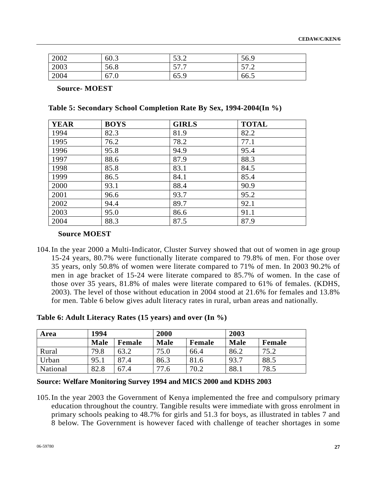| 2002 | 60.3 | 532<br>ے . ب | 56.9          |
|------|------|--------------|---------------|
| 2003 | 56.8 | 57 T<br>JI.I | 57.2<br>ے ، ر |
| 2004 | 67.0 | 65.9         | 66.5          |

**Source- MOEST** 

**Table 5: Secondary School Completion Rate By Sex, 1994-2004(In %)** 

| <b>YEAR</b> | <b>BOYS</b> | <b>GIRLS</b> | <b>TOTAL</b> |
|-------------|-------------|--------------|--------------|
| 1994        | 82.3        | 81.9         | 82.2         |
| 1995        | 76.2        | 78.2         | 77.1         |
| 1996        | 95.8        | 94.9         | 95.4         |
| 1997        | 88.6        | 87.9         | 88.3         |
| 1998        | 85.8        | 83.1         | 84.5         |
| 1999        | 86.5        | 84.1         | 85.4         |
| 2000        | 93.1        | 88.4         | 90.9         |
| 2001        | 96.6        | 93.7         | 95.2         |
| 2002        | 94.4        | 89.7         | 92.1         |
| 2003        | 95.0        | 86.6         | 91.1         |
| 2004        | 88.3        | 87.5         | 87.9         |

## **Source MOEST**

104.In the year 2000 a Multi-Indicator, Cluster Survey showed that out of women in age group 15-24 years, 80.7% were functionally literate compared to 79.8% of men. For those over 35 years, only 50.8% of women were literate compared to 71% of men. In 2003 90.2% of men in age bracket of 15-24 were literate compared to 85.7% of women. In the case of those over 35 years, 81.8% of males were literate compared to 61% of females. (KDHS, 2003). The level of those without education in 2004 stood at 21.6% for females and 13.8% for men. Table 6 below gives adult literacy rates in rural, urban areas and nationally.

**Table 6: Adult Literacy Rates (15 years) and over (In %)** 

| Area     | 1994        |        | 2000        |        | 2003        |        |  |  |
|----------|-------------|--------|-------------|--------|-------------|--------|--|--|
|          | <b>Male</b> | Female | <b>Male</b> | Female | <b>Male</b> | Female |  |  |
| Rural    | 79.8        | 63.2   | 75.0        | 66.4   | 86.2        | 75.2   |  |  |
| Urban    | 95.1        | 87.4   | 86.3        | 81.6   | 93.7        | 88.5   |  |  |
| National | 82.8        | 67.4   | 77.6        | 70.2   | 88.1        | 78.5   |  |  |

## **Source: Welfare Monitoring Survey 1994 and MICS 2000 and KDHS 2003**

105.In the year 2003 the Government of Kenya implemented the free and compulsory primary education throughout the country. Tangible results were immediate with gross enrolment in primary schools peaking to 48.7% for girls and 51.3 for boys, as illustrated in tables 7 and 8 below. The Government is however faced with challenge of teacher shortages in some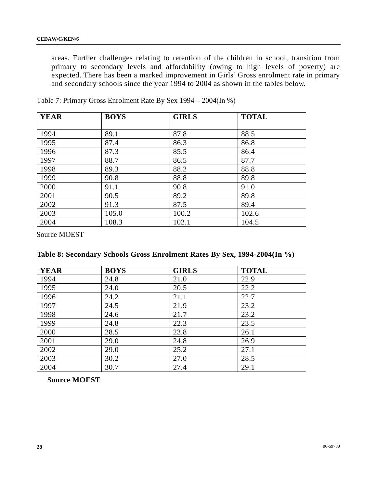areas. Further challenges relating to retention of the children in school, transition from primary to secondary levels and affordability (owing to high levels of poverty) are expected. There has been a marked improvement in Girls' Gross enrolment rate in primary and secondary schools since the year 1994 to 2004 as shown in the tables below.

| <b>YEAR</b> | <b>BOYS</b> | <b>GIRLS</b> | <b>TOTAL</b> |
|-------------|-------------|--------------|--------------|
|             |             |              |              |
| 1994        | 89.1        | 87.8         | 88.5         |
| 1995        | 87.4        | 86.3         | 86.8         |
| 1996        | 87.3        | 85.5         | 86.4         |
| 1997        | 88.7        | 86.5         | 87.7         |
| 1998        | 89.3        | 88.2         | 88.8         |
| 1999        | 90.8        | 88.8         | 89.8         |
| 2000        | 91.1        | 90.8         | 91.0         |
| 2001        | 90.5        | 89.2         | 89.8         |
| 2002        | 91.3        | 87.5         | 89.4         |
| 2003        | 105.0       | 100.2        | 102.6        |
| 2004        | 108.3       | 102.1        | 104.5        |

Table 7: Primary Gross Enrolment Rate By Sex 1994 – 2004(In %)

Source MOEST

|  |  | Table 8: Secondary Schools Gross Enrolment Rates By Sex, 1994-2004(In %) |  |  |  |
|--|--|--------------------------------------------------------------------------|--|--|--|
|  |  |                                                                          |  |  |  |

| <b>YEAR</b> | <b>BOYS</b> | <b>GIRLS</b> | <b>TOTAL</b> |
|-------------|-------------|--------------|--------------|
| 1994        | 24.8        | 21.0         | 22.9         |
| 1995        | 24.0        | 20.5         | 22.2         |
| 1996        | 24.2        | 21.1         | 22.7         |
| 1997        | 24.5        | 21.9         | 23.2         |
| 1998        | 24.6        | 21.7         | 23.2         |
| 1999        | 24.8        | 22.3         | 23.5         |
| 2000        | 28.5        | 23.8         | 26.1         |
| 2001        | 29.0        | 24.8         | 26.9         |
| 2002        | 29.0        | 25.2         | 27.1         |
| 2003        | 30.2        | 27.0         | 28.5         |
| 2004        | 30.7        | 27.4         | 29.1         |

**Source MOEST**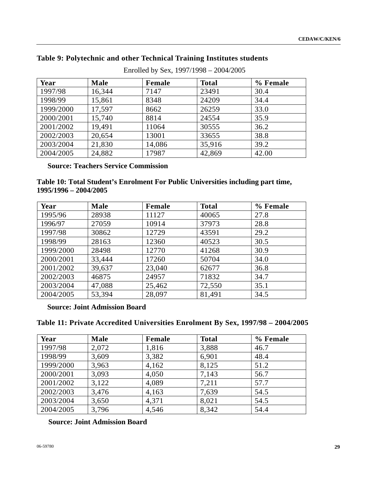| Enrolled by Sex, 1997/1998 - 2004/2005 |             |        |              |          |  |  |  |  |
|----------------------------------------|-------------|--------|--------------|----------|--|--|--|--|
| Year                                   | <b>Male</b> | Female | <b>Total</b> | % Female |  |  |  |  |
| 1997/98                                | 16,344      | 7147   | 23491        | 30.4     |  |  |  |  |
| 1998/99                                | 15,861      | 8348   | 24209        | 34.4     |  |  |  |  |
| 1999/2000                              | 17,597      | 8662   | 26259        | 33.0     |  |  |  |  |
| 2000/2001                              | 15,740      | 8814   | 24554        | 35.9     |  |  |  |  |
| 2001/2002                              | 19,491      | 11064  | 30555        | 36.2     |  |  |  |  |
| 2002/2003                              | 20,654      | 13001  | 33655        | 38.8     |  |  |  |  |
| 2003/2004                              | 21,830      | 14,086 | 35,916       | 39.2     |  |  |  |  |
| 2004/2005                              | 24,882      | 17987  | 42,869       | 42.00    |  |  |  |  |

# **Table 9: Polytechnic and other Technical Training Institutes students**

# **Source: Teachers Service Commission**

# **Table 10: Total Student's Enrolment For Public Universities including part time, 1995/1996 – 2004/2005**

| Year      | <b>Male</b> | Female | <b>Total</b> | % Female |
|-----------|-------------|--------|--------------|----------|
| 1995/96   | 28938       | 11127  | 40065        | 27.8     |
| 1996/97   | 27059       | 10914  | 37973        | 28.8     |
| 1997/98   | 30862       | 12729  | 43591        | 29.2     |
| 1998/99   | 28163       | 12360  | 40523        | 30.5     |
| 1999/2000 | 28498       | 12770  | 41268        | 30.9     |
| 2000/2001 | 33,444      | 17260  | 50704        | 34.0     |
| 2001/2002 | 39,637      | 23,040 | 62677        | 36.8     |
| 2002/2003 | 46875       | 24957  | 71832        | 34.7     |
| 2003/2004 | 47,088      | 25,462 | 72,550       | 35.1     |
| 2004/2005 | 53,394      | 28,097 | 81,491       | 34.5     |

## **Source: Joint Admission Board**

# **Table 11: Private Accredited Universities Enrolment By Sex, 1997/98 – 2004/2005**

| Year      | <b>Male</b> | Female | <b>Total</b> | % Female |
|-----------|-------------|--------|--------------|----------|
| 1997/98   | 2,072       | 1,816  | 3,888        | 46.7     |
| 1998/99   | 3,609       | 3,382  | 6,901        | 48.4     |
| 1999/2000 | 3,963       | 4,162  | 8,125        | 51.2     |
| 2000/2001 | 3,093       | 4,050  | 7,143        | 56.7     |
| 2001/2002 | 3,122       | 4,089  | 7,211        | 57.7     |
| 2002/2003 | 3,476       | 4,163  | 7,639        | 54.5     |
| 2003/2004 | 3,650       | 4,371  | 8,021        | 54.5     |
| 2004/2005 | 3,796       | 4,546  | 8,342        | 54.4     |

**Source: Joint Admission Board**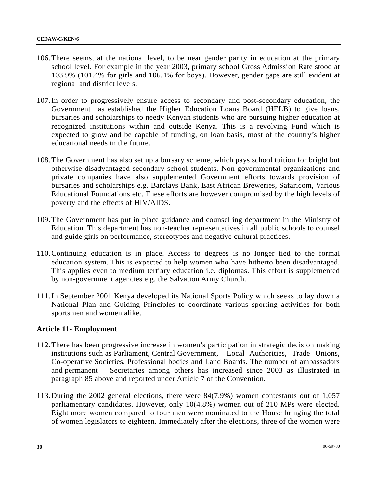- 106.There seems, at the national level, to be near gender parity in education at the primary school level. For example in the year 2003, primary school Gross Admission Rate stood at 103.9% (101.4% for girls and 106.4% for boys). However, gender gaps are still evident at regional and district levels.
- 107.In order to progressively ensure access to secondary and post-secondary education, the Government has established the Higher Education Loans Board (HELB) to give loans, bursaries and scholarships to needy Kenyan students who are pursuing higher education at recognized institutions within and outside Kenya. This is a revolving Fund which is expected to grow and be capable of funding, on loan basis, most of the country's higher educational needs in the future.
- 108.The Government has also set up a bursary scheme, which pays school tuition for bright but otherwise disadvantaged secondary school students. Non-governmental organizations and private companies have also supplemented Government efforts towards provision of bursaries and scholarships e.g. Barclays Bank, East African Breweries, Safaricom, Various Educational Foundations etc. These efforts are however compromised by the high levels of poverty and the effects of HIV/AIDS.
- 109.The Government has put in place guidance and counselling department in the Ministry of Education. This department has non-teacher representatives in all public schools to counsel and guide girls on performance, stereotypes and negative cultural practices.
- 110.Continuing education is in place. Access to degrees is no longer tied to the formal education system. This is expected to help women who have hitherto been disadvantaged. This applies even to medium tertiary education i.e. diplomas. This effort is supplemented by non-government agencies e.g. the Salvation Army Church.
- 111.In September 2001 Kenya developed its National Sports Policy which seeks to lay down a National Plan and Guiding Principles to coordinate various sporting activities for both sportsmen and women alike.

# **Article 11- Employment**

- 112.There has been progressive increase in women's participation in strategic decision making institutions such as Parliament, Central Government, Local Authorities, Trade Unions, Co-operative Societies, Professional bodies and Land Boards. The number of ambassadors and permanent Secretaries among others has increased since 2003 as illustrated in paragraph 85 above and reported under Article 7 of the Convention.
- 113.During the 2002 general elections, there were 84(7.9%) women contestants out of 1,057 parliamentary candidates. However, only 10(4.8%) women out of 210 MPs were elected. Eight more women compared to four men were nominated to the House bringing the total of women legislators to eighteen. Immediately after the elections, three of the women were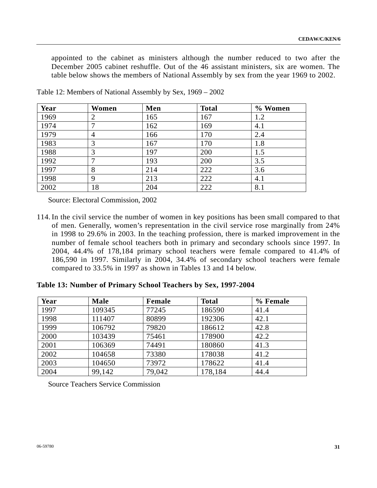appointed to the cabinet as ministers although the number reduced to two after the December 2005 cabinet reshuffle. Out of the 46 assistant ministers, six are women. The table below shows the members of National Assembly by sex from the year 1969 to 2002.

| Year | Women          | Men | <b>Total</b> | % Women |
|------|----------------|-----|--------------|---------|
| 1969 |                | 165 | 167          | 1.2     |
| 1974 |                | 162 | 169          | 4.1     |
| 1979 | $\overline{4}$ | 166 | 170          | 2.4     |
| 1983 | 3              | 167 | 170          | 1.8     |
| 1988 | 3              | 197 | 200          | 1.5     |
| 1992 |                | 193 | 200          | 3.5     |
| 1997 | 8              | 214 | 222          | 3.6     |
| 1998 | 9              | 213 | 222          | 4.1     |
| 2002 | 18             | 204 | 222          | 8.1     |

Table 12: Members of National Assembly by Sex, 1969 – 2002

Source: Electoral Commission, 2002

114. In the civil service the number of women in key positions has been small compared to that of men. Generally, women's representation in the civil service rose marginally from 24% in 1998 to 29.6% in 2003. In the teaching profession, there is marked improvement in the number of female school teachers both in primary and secondary schools since 1997. In 2004, 44.4% of 178,184 primary school teachers were female compared to 41.4% of 186,590 in 1997. Similarly in 2004, 34.4% of secondary school teachers were female compared to 33.5% in 1997 as shown in Tables 13 and 14 below.

**Table 13: Number of Primary School Teachers by Sex, 1997-2004** 

| Year | <b>Male</b> | Female | <b>Total</b> | % Female |
|------|-------------|--------|--------------|----------|
| 1997 | 109345      | 77245  | 186590       | 41.4     |
| 1998 | 111407      | 80899  | 192306       | 42.1     |
| 1999 | 106792      | 79820  | 186612       | 42.8     |
| 2000 | 103439      | 75461  | 178900       | 42.2     |
| 2001 | 106369      | 74491  | 180860       | 41.3     |
| 2002 | 104658      | 73380  | 178038       | 41.2     |
| 2003 | 104650      | 73972  | 178622       | 41.4     |
| 2004 | 99,142      | 79,042 | 178,184      | 44.4     |

Source Teachers Service Commission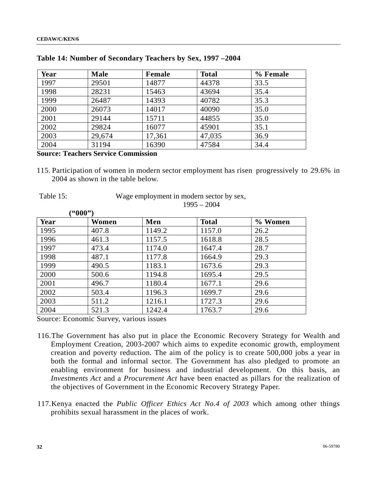| Year | <b>Male</b> | Female | <b>Total</b> | % Female |
|------|-------------|--------|--------------|----------|
| 1997 | 29501       | 14877  | 44378        | 33.5     |
| 1998 | 28231       | 15463  | 43694        | 35.4     |
| 1999 | 26487       | 14393  | 40782        | 35.3     |
| 2000 | 26073       | 14017  | 40090        | 35.0     |
| 2001 | 29144       | 15711  | 44855        | 35.0     |
| 2002 | 29824       | 16077  | 45901        | 35.1     |
| 2003 | 29,674      | 17,361 | 47,035       | 36.9     |
| 2004 | 31194       | 16390  | 47584        | 34.4     |

#### **Table 14: Number of Secondary Teachers by Sex, 1997 –2004**

# **Source: Teachers Service Commission**

 **("000")** 

115. Participation of women in modern sector employment has risen progressively to 29.6% in 2004 as shown in the table below.

|  | Table 15. |  |
|--|-----------|--|
|--|-----------|--|

Wage employment in modern sector by sex, 1995 – 2004

|      | ™UUU‴ J |        |              |         |
|------|---------|--------|--------------|---------|
| Year | Women   | Men    | <b>Total</b> | % Women |
| 1995 | 407.8   | 1149.2 | 1157.0       | 26.2    |
| 1996 | 461.3   | 1157.5 | 1618.8       | 28.5    |
| 1997 | 473.4   | 1174.0 | 1647.4       | 28.7    |
| 1998 | 487.1   | 1177.8 | 1664.9       | 29.3    |
| 1999 | 490.5   | 1183.1 | 1673.6       | 29.3    |
| 2000 | 500.6   | 1194.8 | 1695.4       | 29.5    |
| 2001 | 496.7   | 1180.4 | 1677.1       | 29.6    |
| 2002 | 503.4   | 1196.3 | 1699.7       | 29.6    |
| 2003 | 511.2   | 1216.1 | 1727.3       | 29.6    |
| 2004 | 521.3   | 1242.4 | 1763.7       | 29.6    |

Source: Economic Survey, various issues

- 116.The Government has also put in place the Economic Recovery Strategy for Wealth and Employment Creation, 2003-2007 which aims to expedite economic growth, employment creation and poverty reduction. The aim of the policy is to create 500,000 jobs a year in both the formal and informal sector. The Government has also pledged to promote an enabling environment for business and industrial development. On this basis, an *Investments Act* and a *Procurement Act* have been enacted as pillars for the realization of the objectives of Government in the Economic Recovery Strategy Paper.
- 117.Kenya enacted the *Public Officer Ethics Act No.4 of 2003* which among other things prohibits sexual harassment in the places of work.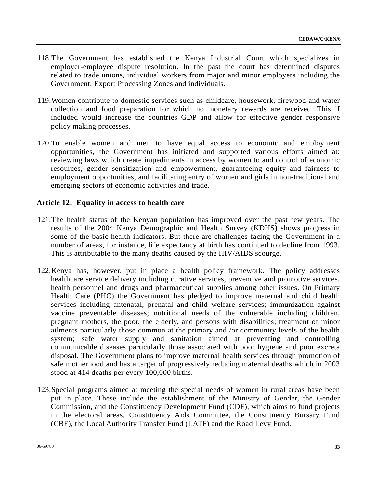- 118.The Government has established the Kenya Industrial Court which specializes in employer-employee dispute resolution. In the past the court has determined disputes related to trade unions, individual workers from major and minor employers including the Government, Export Processing Zones and individuals.
- 119.Women contribute to domestic services such as childcare, housework, firewood and water collection and food preparation for which no monetary rewards are received. This if included would increase the countries GDP and allow for effective gender responsive policy making processes.
- 120.To enable women and men to have equal access to economic and employment opportunities, the Government has initiated and supported various efforts aimed at: reviewing laws which create impediments in access by women to and control of economic resources, gender sensitization and empowerment, guaranteeing equity and fairness to employment opportunities, and facilitating entry of women and girls in non-traditional and emerging sectors of economic activities and trade.

## **Article 12: Equality in access to health care**

- 121.The health status of the Kenyan population has improved over the past few years. The results of the 2004 Kenya Demographic and Health Survey (KDHS) shows progress in some of the basic health indicators. But there are challenges facing the Government in a number of areas, for instance, life expectancy at birth has continued to decline from 1993. This is attributable to the many deaths caused by the HIV/AIDS scourge.
- 122.Kenya has, however, put in place a health policy framework. The policy addresses healthcare service delivery including curative services, preventive and promotive services, health personnel and drugs and pharmaceutical supplies among other issues. On Primary Health Care (PHC) the Government has pledged to improve maternal and child health services including antenatal, prenatal and child welfare services; immunization against vaccine preventable diseases; nutritional needs of the vulnerable including children, pregnant mothers, the poor, the elderly, and persons with disabilities; treatment of minor ailments particularly those common at the primary and /or community levels of the health system; safe water supply and sanitation aimed at preventing and controlling communicable diseases particularly those associated with poor hygiene and poor excreta disposal. The Government plans to improve maternal health services through promotion of safe motherhood and has a target of progressively reducing maternal deaths which in 2003 stood at 414 deaths per every 100,000 births.
- 123.Special programs aimed at meeting the special needs of women in rural areas have been put in place. These include the establishment of the Ministry of Gender, the Gender Commission, and the Constituency Development Fund (CDF), which aims to fund projects in the electoral areas, Constituency Aids Committee, the Constituency Bursary Fund (CBF), the Local Authority Transfer Fund (LATF) and the Road Levy Fund.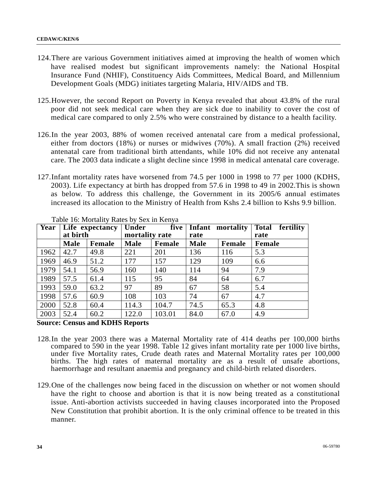- 124.There are various Government initiatives aimed at improving the health of women which have realised modest but significant improvements namely: the National Hospital Insurance Fund (NHIF), Constituency Aids Committees, Medical Board, and Millennium Development Goals (MDG) initiates targeting Malaria, HIV/AIDS and TB.
- 125.However, the second Report on Poverty in Kenya revealed that about 43.8% of the rural poor did not seek medical care when they are sick due to inability to cover the cost of medical care compared to only 2.5% who were constrained by distance to a health facility.
- 126.In the year 2003, 88% of women received antenatal care from a medical professional, either from doctors (18%) or nurses or midwives (70%). A small fraction (2%) received antenatal care from traditional birth attendants, while 10% did not receive any antenatal care. The 2003 data indicate a slight decline since 1998 in medical antenatal care coverage.
- 127.Infant mortality rates have worsened from 74.5 per 1000 in 1998 to 77 per 1000 (KDHS, 2003). Life expectancy at birth has dropped from 57.6 in 1998 to 49 in 2002.This is shown as below. To address this challenge, the Government in its 2005/6 annual estimates increased its allocation to the Ministry of Health from Kshs 2.4 billion to Kshs 9.9 billion.

|      | at birth    | <b>Year</b> Life expectancy | Under<br>mortality rate |        | five<br><b>Infant</b><br>mortality<br>rate |        | <b>Total</b><br>fertility<br>rate |
|------|-------------|-----------------------------|-------------------------|--------|--------------------------------------------|--------|-----------------------------------|
|      | <b>Male</b> | <b>Female</b>               | <b>Male</b>             | Female | <b>Male</b>                                | Female | Female                            |
| 1962 | 42.7        | 49.8                        | 221                     | 201    | 136                                        | 116    | 5.3                               |
| 1969 | 46.9        | 51.2                        | 177                     | 157    | 129                                        | 109    | 6.6                               |
| 1979 | 54.1        | 56.9                        | 160                     | 140    | 114                                        | 94     | 7.9                               |
| 1989 | 57.5        | 61.4                        | 115                     | 95     | 84                                         | 64     | 6.7                               |
| 1993 | 59.0        | 63.2                        | 97                      | 89     | 67                                         | 58     | 5.4                               |
| 1998 | 57.6        | 60.9                        | 108                     | 103    | 74                                         | 67     | 4.7                               |
| 2000 | 52.8        | 60.4                        | 114.3                   | 104.7  | 74.5                                       | 65.3   | 4.8                               |
| 2003 | 52.4        | 60.2                        | 122.0                   | 103.01 | 84.0                                       | 67.0   | 4.9                               |

Table 16: Mortality Rates by Sex in Kenya

## **Source: Census and KDHS Reports**

- 128.In the year 2003 there was a Maternal Mortality rate of 414 deaths per 100,000 births compared to 590 in the year 1998. Table 12 gives infant mortality rate per 1000 live births, under five Mortality rates, Crude death rates and Maternal Mortality rates per 100,000 births. The high rates of maternal mortality are as a result of unsafe abortions, haemorrhage and resultant anaemia and pregnancy and child-birth related disorders.
- 129.One of the challenges now being faced in the discussion on whether or not women should have the right to choose and abortion is that it is now being treated as a constitutional issue. Anti-abortion activists succeeded in having clauses incorporated into the Proposed New Constitution that prohibit abortion. It is the only criminal offence to be treated in this manner.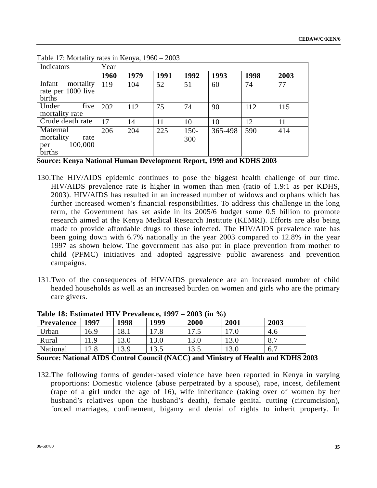| Indicators                                                | Year |      |      |                |         |      |      |
|-----------------------------------------------------------|------|------|------|----------------|---------|------|------|
|                                                           | 1960 | 1979 | 1991 | 1992           | 1993    | 1998 | 2003 |
| Infant<br>mortality<br>rate per 1000 live<br>births       | 119  | 104  | 52   | 51             | 60      | 74   | 77   |
| five<br>Under<br>mortality rate                           | 202  | 112  | 75   | 74             | 90      | 112  | 115  |
| Crude death rate                                          | 17   | 14   | 11   | 10             | 10      | 12   | 11   |
| Maternal<br>mortality<br>rate<br>100,000<br>per<br>births | 206  | 204  | 225  | $150 -$<br>300 | 365-498 | 590  | 414  |

Table 17: Mortality rates in Kenya, 1960 – 2003

**Source: Kenya National Human Development Report, 1999 and KDHS 2003** 

- 130.The HIV/AIDS epidemic continues to pose the biggest health challenge of our time. HIV/AIDS prevalence rate is higher in women than men (ratio of 1.9:1 as per KDHS, 2003). HIV/AIDS has resulted in an increased number of widows and orphans which has further increased women's financial responsibilities. To address this challenge in the long term, the Government has set aside in its 2005/6 budget some 0.5 billion to promote research aimed at the Kenya Medical Research Institute (KEMRI). Efforts are also being made to provide affordable drugs to those infected. The HIV/AIDS prevalence rate has been going down with 6.7% nationally in the year 2003 compared to 12.8% in the year 1997 as shown below. The government has also put in place prevention from mother to child (PFMC) initiatives and adopted aggressive public awareness and prevention campaigns.
- 131.Two of the consequences of HIV/AIDS prevalence are an increased number of child headed households as well as an increased burden on women and girls who are the primary care givers.

| Table 10. Estimated 111 v 1 Fevalence, 1777 = 2005 (111 70) |      |      |      |       |      |      |  |
|-------------------------------------------------------------|------|------|------|-------|------|------|--|
| Prevalence                                                  | 1997 | 1998 | 1999 | 2000  | 2001 | 2003 |  |
| Urban                                                       | 16.9 | 18.1 | .7.8 |       |      | 4.0  |  |
| Rural                                                       | .1.9 | l3.0 | 13.0 | 13.0  | 13.0 | 8.7  |  |
| National                                                    |      | 3.9  | 13.5 | l 3.5 | 13.0 | 6.7  |  |

**Table 18: Estimated HIV Prevalence, 1997 – 2003 (in %)** 

**Source: National AIDS Control Council (NACC) and Ministry of Health and KDHS 2003** 

132.The following forms of gender-based violence have been reported in Kenya in varying proportions: Domestic violence (abuse perpetrated by a spouse), rape, incest, defilement (rape of a girl under the age of 16), wife inheritance (taking over of women by her husband's relatives upon the husband's death), female genital cutting (circumcision), forced marriages, confinement, bigamy and denial of rights to inherit property. In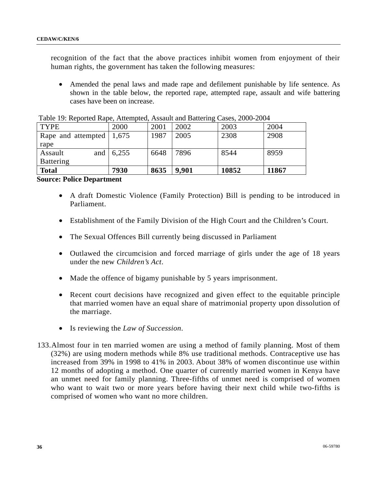recognition of the fact that the above practices inhibit women from enjoyment of their human rights, the government has taken the following measures:

• Amended the penal laws and made rape and defilement punishable by life sentence. As shown in the table below, the reported rape, attempted rape, assault and wife battering cases have been on increase.

| <b>TYPE</b>                              |     | 2000  | 2001 | 2002  | 2003  | 2004  |
|------------------------------------------|-----|-------|------|-------|-------|-------|
| Rape and attempted $\vert 1,675 \rangle$ |     |       | 1987 | 2005  | 2308  | 2908  |
| rape                                     |     |       |      |       |       |       |
| Assault                                  | and | 6,255 | 6648 | 7896  | 8544  | 8959  |
| <b>Battering</b>                         |     |       |      |       |       |       |
| <b>Total</b>                             |     | 7930  | 8635 | 9,901 | 10852 | 11867 |

Table 19: Reported Rape, Attempted, Assault and Battering Cases, 2000-2004

**Source: Police Department** 

- A draft Domestic Violence (Family Protection) Bill is pending to be introduced in Parliament.
- Establishment of the Family Division of the High Court and the Children's Court.
- The Sexual Offences Bill currently being discussed in Parliament
- Outlawed the circumcision and forced marriage of girls under the age of 18 years under the new *Children's Act*.
- Made the offence of bigamy punishable by 5 years imprisonment.
- Recent court decisions have recognized and given effect to the equitable principle that married women have an equal share of matrimonial property upon dissolution of the marriage.
- Is reviewing the *Law of Succession*.
- 133.Almost four in ten married women are using a method of family planning. Most of them (32%) are using modern methods while 8% use traditional methods. Contraceptive use has increased from 39% in 1998 to 41% in 2003. About 38% of women discontinue use within 12 months of adopting a method. One quarter of currently married women in Kenya have an unmet need for family planning. Three-fifths of unmet need is comprised of women who want to wait two or more years before having their next child while two-fifths is comprised of women who want no more children.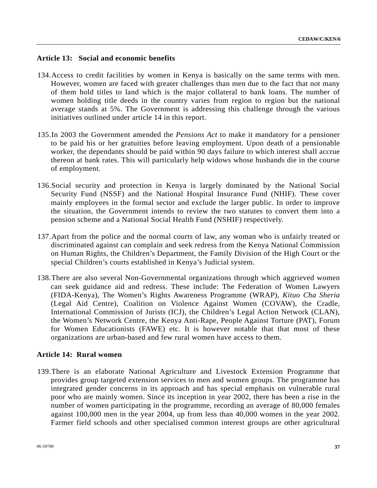# **Article 13: Social and economic benefits**

- 134.Access to credit facilities by women in Kenya is basically on the same terms with men. However, women are faced with greater challenges than men due to the fact that not many of them hold titles to land which is the major collateral to bank loans. The number of women holding title deeds in the country varies from region to region but the national average stands at 5%. The Government is addressing this challenge through the various initiatives outlined under article 14 in this report.
- 135.In 2003 the Government amended the *Pensions Act* to make it mandatory for a pensioner to be paid his or her gratuities before leaving employment. Upon death of a pensionable worker, the dependants should be paid within 90 days failure to which interest shall accrue thereon at bank rates. This will particularly help widows whose husbands die in the course of employment.
- 136.Social security and protection in Kenya is largely dominated by the National Social Security Fund (NSSF) and the National Hospital Insurance Fund (NHIF). These cover mainly employees in the formal sector and exclude the larger public. In order to improve the situation, the Government intends to review the two statutes to convert them into a pension scheme and a National Social Health Fund (NSHIF) respectively.
- 137.Apart from the police and the normal courts of law, any woman who is unfairly treated or discriminated against can complain and seek redress from the Kenya National Commission on Human Rights, the Children's Department, the Family Division of the High Court or the special Children's courts established in Kenya's Judicial system.
- 138.There are also several Non-Governmental organizations through which aggrieved women can seek guidance aid and redress. These include: The Federation of Women Lawyers (FIDA-Kenya), The Women's Rights Awareness Programme (WRAP), *Kituo Cha Sheria*  (Legal Aid Centre), Coalition on Violence Against Women (COVAW), the Cradle, International Commission of Jurists (ICJ), the Children's Legal Action Network (CLAN), the Women's Network Centre, the Kenya Anti-Rape, People Against Torture (PAT), Forum for Women Educationists (FAWE) etc. It is however notable that that most of these organizations are urban-based and few rural women have access to them.

## **Article 14: Rural women**

139.There is an elaborate National Agriculture and Livestock Extension Programme that provides group targeted extension services to men and women groups. The programme has integrated gender concerns in its approach and has special emphasis on vulnerable rural poor who are mainly women. Since its inception in year 2002, there has been a rise in the number of women participating in the programme, recording an average of 80,000 females against 100,000 men in the year 2004, up from less than 40,000 women in the year 2002. Farmer field schools and other specialised common interest groups are other agricultural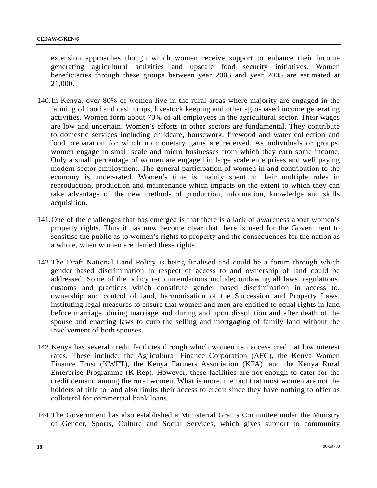extension approaches though which women receive support to enhance their income generating agricultural activities and upscale food security initiatives. Women beneficiaries through these groups between year 2003 and year 2005 are estimated at 21,000.

- 140.In Kenya, over 80% of women live in the rural areas where majority are engaged in the farming of food and cash crops, livestock keeping and other agro-based income generating activities. Women form about 70% of all employees in the agricultural sector. Their wages are low and uncertain. Women's efforts in other sectors are fundamental. They contribute to domestic services including childcare, housework, firewood and water collection and food preparation for which no monetary gains are received. As individuals or groups, women engage in small scale and micro businesses from which they earn some income. Only a small percentage of women are engaged in large scale enterprises and well paying modern sector employment. The general participation of women in and contribution to the economy is under-rated. Women's time is mainly spent in their multiple roles in reproduction, production and maintenance which impacts on the extent to which they can take advantage of the new methods of production, information, knowledge and skills acquisition.
- 141.One of the challenges that has emerged is that there is a lack of awareness about women's property rights. Thus it has now become clear that there is need for the Government to sensitise the public as to women's rights to property and the consequences for the nation as a whole, when women are denied these rights.
- 142.The Draft National Land Policy is being finalised and could be a forum through which gender based discrimination in respect of access to and ownership of land could be addressed. Some of the policy recommendations include; outlawing all laws, regulations, customs and practices which constitute gender based discrimination in access to, ownership and control of land, harmonisation of the Succession and Property Laws, instituting legal measures to ensure that women and men are entitled to equal rights in land before marriage, during marriage and during and upon dissolution and after death of the spouse and enacting laws to curb the selling and mortgaging of family land without the involvement of both spouses.
- 143.Kenya has several credit facilities through which women can access credit at low interest rates. These include: the Agricultural Finance Corporation (AFC), the Kenya Women Finance Trust (KWFT), the Kenya Farmers Association (KFA), and the Kenya Rural Enterprise Programme (K-Rep). However, these facilities are not enough to cater for the credit demand among the rural women. What is more, the fact that most women are not the holders of title to land also limits their access to credit since they have nothing to offer as collateral for commercial bank loans.
- 144.The Government has also established a Ministerial Grants Committee under the Ministry of Gender, Sports, Culture and Social Services, which gives support to community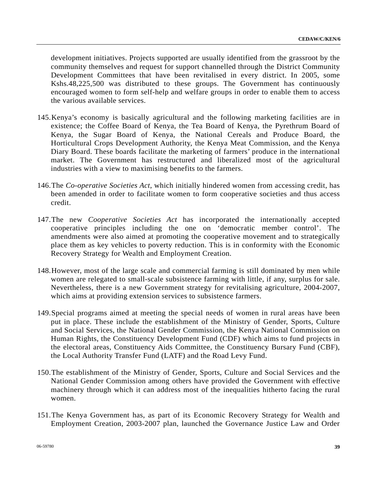development initiatives. Projects supported are usually identified from the grassroot by the community themselves and request for support channelled through the District Community Development Committees that have been revitalised in every district. In 2005, some Kshs.48,225,500 was distributed to these groups. The Government has continuously encouraged women to form self-help and welfare groups in order to enable them to access the various available services.

- 145.Kenya's economy is basically agricultural and the following marketing facilities are in existence; the Coffee Board of Kenya, the Tea Board of Kenya, the Pyrethrum Board of Kenya, the Sugar Board of Kenya, the National Cereals and Produce Board, the Horticultural Crops Development Authority, the Kenya Meat Commission, and the Kenya Diary Board. These boards facilitate the marketing of farmers' produce in the international market. The Government has restructured and liberalized most of the agricultural industries with a view to maximising benefits to the farmers.
- 146.The *Co-operative Societies Act*, which initially hindered women from accessing credit, has been amended in order to facilitate women to form cooperative societies and thus access credit.
- 147.The new *Cooperative Societies Act* has incorporated the internationally accepted cooperative principles including the one on 'democratic member control'. The amendments were also aimed at promoting the cooperative movement and to strategically place them as key vehicles to poverty reduction. This is in conformity with the Economic Recovery Strategy for Wealth and Employment Creation.
- 148.However, most of the large scale and commercial farming is still dominated by men while women are relegated to small-scale subsistence farming with little, if any, surplus for sale. Nevertheless, there is a new Government strategy for revitalising agriculture, 2004-2007, which aims at providing extension services to subsistence farmers.
- 149.Special programs aimed at meeting the special needs of women in rural areas have been put in place. These include the establishment of the Ministry of Gender, Sports, Culture and Social Services, the National Gender Commission, the Kenya National Commission on Human Rights, the Constituency Development Fund (CDF) which aims to fund projects in the electoral areas, Constituency Aids Committee, the Constituency Bursary Fund (CBF), the Local Authority Transfer Fund (LATF) and the Road Levy Fund.
- 150.The establishment of the Ministry of Gender, Sports, Culture and Social Services and the National Gender Commission among others have provided the Government with effective machinery through which it can address most of the inequalities hitherto facing the rural women.
- 151.The Kenya Government has, as part of its Economic Recovery Strategy for Wealth and Employment Creation, 2003-2007 plan, launched the Governance Justice Law and Order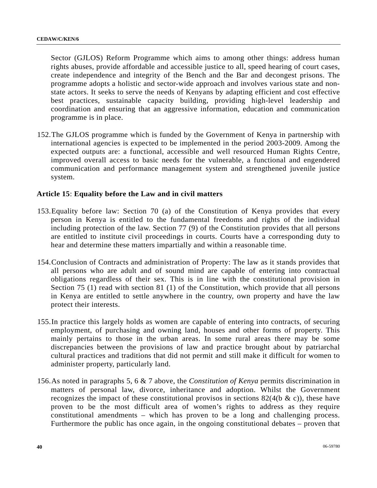Sector (GJLOS) Reform Programme which aims to among other things: address human rights abuses, provide affordable and accessible justice to all, speed hearing of court cases, create independence and integrity of the Bench and the Bar and decongest prisons. The programme adopts a holistic and sector-wide approach and involves various state and nonstate actors. It seeks to serve the needs of Kenyans by adapting efficient and cost effective best practices, sustainable capacity building, providing high-level leadership and coordination and ensuring that an aggressive information, education and communication programme is in place.

152.The GJLOS programme which is funded by the Government of Kenya in partnership with international agencies is expected to be implemented in the period 2003-2009. Among the expected outputs are: a functional, accessible and well resourced Human Rights Centre, improved overall access to basic needs for the vulnerable, a functional and engendered communication and performance management system and strengthened juvenile justice system.

## **Article 15**: **Equality before the Law and in civil matters**

- 153.Equality before law: Section 70 (a) of the Constitution of Kenya provides that every person in Kenya is entitled to the fundamental freedoms and rights of the individual including protection of the law. Section 77 (9) of the Constitution provides that all persons are entitled to institute civil proceedings in courts. Courts have a corresponding duty to hear and determine these matters impartially and within a reasonable time.
- 154.Conclusion of Contracts and administration of Property: The law as it stands provides that all persons who are adult and of sound mind are capable of entering into contractual obligations regardless of their sex. This is in line with the constitutional provision in Section 75 (1) read with section 81 (1) of the Constitution, which provide that all persons in Kenya are entitled to settle anywhere in the country, own property and have the law protect their interests.
- 155.In practice this largely holds as women are capable of entering into contracts, of securing employment, of purchasing and owning land, houses and other forms of property. This mainly pertains to those in the urban areas. In some rural areas there may be some discrepancies between the provisions of law and practice brought about by patriarchal cultural practices and traditions that did not permit and still make it difficult for women to administer property, particularly land.
- 156.As noted in paragraphs 5, 6 & 7 above, the *Constitution of Kenya* permits discrimination in matters of personal law, divorce, inheritance and adoption. Whilst the Government recognizes the impact of these constitutional provisos in sections  $82(4(b \& c))$ , these have proven to be the most difficult area of women's rights to address as they require constitutional amendments – which has proven to be a long and challenging process. Furthermore the public has once again, in the ongoing constitutional debates – proven that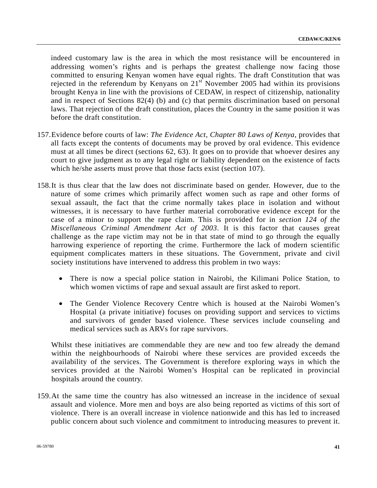indeed customary law is the area in which the most resistance will be encountered in addressing women's rights and is perhaps the greatest challenge now facing those committed to ensuring Kenyan women have equal rights. The draft Constitution that was rejected in the referendum by Kenyans on  $21<sup>st</sup>$  November 2005 had within its provisions brought Kenya in line with the provisions of CEDAW, in respect of citizenship, nationality and in respect of Sections 82(4) (b) and (c) that permits discrimination based on personal laws. That rejection of the draft constitution, places the Country in the same position it was before the draft constitution.

- 157.Evidence before courts of law: *The Evidence Act, Chapter 80 Laws of Kenya*, provides that all facts except the contents of documents may be proved by oral evidence. This evidence must at all times be direct (sections 62, 63). It goes on to provide that whoever desires any court to give judgment as to any legal right or liability dependent on the existence of facts which he/she asserts must prove that those facts exist (section 107).
- 158.It is thus clear that the law does not discriminate based on gender. However, due to the nature of some crimes which primarily affect women such as rape and other forms of sexual assault, the fact that the crime normally takes place in isolation and without witnesses, it is necessary to have further material corroborative evidence except for the case of a minor to support the rape claim. This is provided for in *section 124 of the Miscellaneous Criminal Amendment Act of 2003*. It is this factor that causes great challenge as the rape victim may not be in that state of mind to go through the equally harrowing experience of reporting the crime. Furthermore the lack of modern scientific equipment complicates matters in these situations. The Government, private and civil society institutions have intervened to address this problem in two ways:
	- There is now a special police station in Nairobi, the Kilimani Police Station, to which women victims of rape and sexual assault are first asked to report.
	- The Gender Violence Recovery Centre which is housed at the Nairobi Women's Hospital (a private initiative) focuses on providing support and services to victims and survivors of gender based violence. These services include counseling and medical services such as ARVs for rape survivors.

Whilst these initiatives are commendable they are new and too few already the demand within the neighbourhoods of Nairobi where these services are provided exceeds the availability of the services. The Government is therefore exploring ways in which the services provided at the Nairobi Women's Hospital can be replicated in provincial hospitals around the country.

159.At the same time the country has also witnessed an increase in the incidence of sexual assault and violence. More men and boys are also being reported as victims of this sort of violence. There is an overall increase in violence nationwide and this has led to increased public concern about such violence and commitment to introducing measures to prevent it.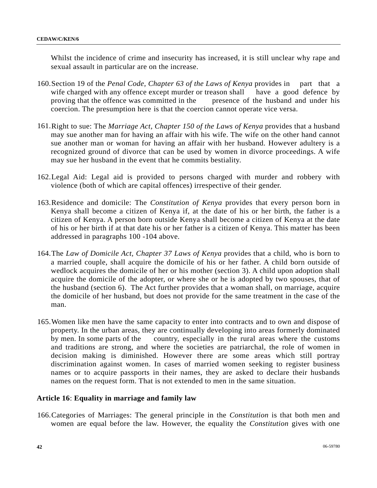Whilst the incidence of crime and insecurity has increased, it is still unclear why rape and sexual assault in particular are on the increase.

- 160.Section 19 of the *Penal Code, Chapter 63 of the Laws of Kenya* provides in part that a wife charged with any offence except murder or treason shall have a good defence by proving that the offence was committed in the presence of the husband and under his coercion. The presumption here is that the coercion cannot operate vice versa.
- 161.Right to sue: The *Marriage Act, Chapter 150 of the Laws of Kenya* provides that a husband may sue another man for having an affair with his wife. The wife on the other hand cannot sue another man or woman for having an affair with her husband. However adultery is a recognized ground of divorce that can be used by women in divorce proceedings. A wife may sue her husband in the event that he commits bestiality.
- 162.Legal Aid: Legal aid is provided to persons charged with murder and robbery with violence (both of which are capital offences) irrespective of their gender.
- 163.Residence and domicile: The *Constitution of Kenya* provides that every person born in Kenya shall become a citizen of Kenya if, at the date of his or her birth, the father is a citizen of Kenya. A person born outside Kenya shall become a citizen of Kenya at the date of his or her birth if at that date his or her father is a citizen of Kenya. This matter has been addressed in paragraphs 100 -104 above.
- 164.The *Law of Domicile Act, Chapter 37 Laws of Kenya* provides that a child, who is born to a married couple, shall acquire the domicile of his or her father. A child born outside of wedlock acquires the domicile of her or his mother (section 3). A child upon adoption shall acquire the domicile of the adopter, or where she or he is adopted by two spouses, that of the husband (section 6). The Act further provides that a woman shall, on marriage, acquire the domicile of her husband, but does not provide for the same treatment in the case of the man.
- 165.Women like men have the same capacity to enter into contracts and to own and dispose of property. In the urban areas, they are continually developing into areas formerly dominated by men. In some parts of the country, especially in the rural areas where the customs and traditions are strong, and where the societies are patriarchal, the role of women in decision making is diminished. However there are some areas which still portray discrimination against women. In cases of married women seeking to register business names or to acquire passports in their names, they are asked to declare their husbands names on the request form. That is not extended to men in the same situation.

# **Article 16**: **Equality in marriage and family law**

166.Categories of Marriages: The general principle in the *Constitution* is that both men and women are equal before the law. However, the equality the *Constitution* gives with one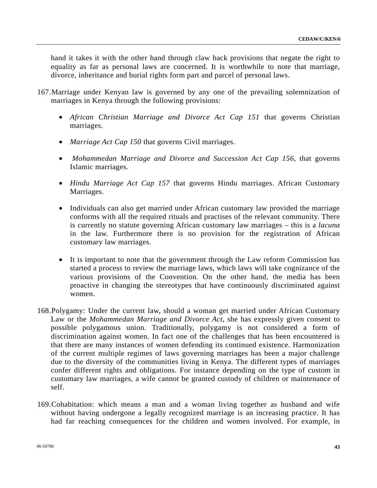hand it takes it with the other hand through claw back provisions that negate the right to equality as far as personal laws are concerned. It is worthwhile to note that marriage, divorce, inheritance and burial rights form part and parcel of personal laws.

- 167.Marriage under Kenyan law is governed by any one of the prevailing solemnization of marriages in Kenya through the following provisions:
	- *African Christian Marriage and Divorce Act Cap 151* that governs Christian marriages.
	- *Marriage Act Cap 150* that governs Civil marriages.
	- • *Mohammedan Marriage and Divorce and Succession Act Cap 156*, that governs Islamic marriages.
	- *Hindu Marriage Act Cap 157* that governs Hindu marriages. African Customary Marriages.
	- Individuals can also get married under African customary law provided the marriage conforms with all the required rituals and practises of the relevant community. There is currently no statute governing African customary law marriages – this is a *lacuna* in the law. Furthermore there is no provision for the registration of African customary law marriages.
	- It is important to note that the government through the Law reform Commission has started a process to review the marriage laws, which laws will take cognizance of the various provisions of the Convention. On the other hand, the media has been proactive in changing the stereotypes that have continuously discriminated against women.
- 168.Polygamy: Under the current law, should a woman get married under African Customary Law or the *Mohammedan Marriage and Divorce Act*, she has expressly given consent to possible polygamous union. Traditionally, polygamy is not considered a form of discrimination against women. In fact one of the challenges that has been encountered is that there are many instances of women defending its continued existence. Harmonization of the current multiple regimes of laws governing marriages has been a major challenge due to the diversity of the communities living in Kenya. The different types of marriages confer different rights and obligations. For instance depending on the type of custom in customary law marriages, a wife cannot be granted custody of children or maintenance of self.
- 169.Cohabitation: which means a man and a woman living together as husband and wife without having undergone a legally recognized marriage is an increasing practice. It has had far reaching consequences for the children and women involved. For example, in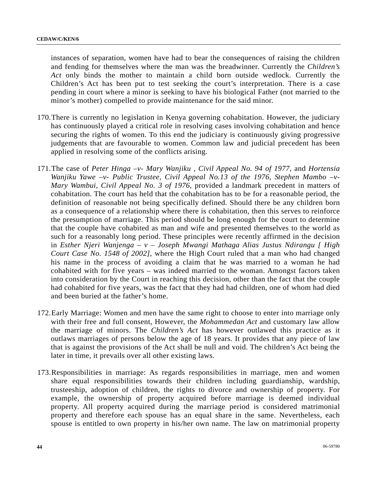instances of separation, women have had to bear the consequences of raising the children and fending for themselves where the man was the breadwinner. Currently the *Children's Act* only binds the mother to maintain a child born outside wedlock. Currently the Children's Act has been put to test seeking the court's interpretation. There is a case pending in court where a minor is seeking to have his biological Father (not married to the minor's mother) compelled to provide maintenance for the said minor.

- 170.There is currently no legislation in Kenya governing cohabitation. However, the judiciary has continuously played a critical role in resolving cases involving cohabitation and hence securing the rights of women. To this end the judiciary is continuously giving progressive judgements that are favourable to women. Common law and judicial precedent has been applied in resolving some of the conflicts arising.
- 171.The case of *Peter Hinga –v- Mary Wanjiku , Civil Appeal No. 94 of 1977*, and *Hortensia Wanjiku Yawe –v- Public Trustee, Civil Appeal No.13 of the 1976*, *Stephen Mambo –v-Mary Wambui, Civil Appeal No. 3 of 1976*, provided a landmark precedent in matters of cohabitation. The court has held that the cohabitation has to be for a reasonable period, the definition of reasonable not being specifically defined. Should there be any children born as a consequence of a relationship where there is cohabitation, then this serves to reinforce the presumption of marriage. This period should be long enough for the court to determine that the couple have cohabited as man and wife and presented themselves to the world as such for a reasonably long period. These principles were recently affirmed in the decision in *Esther Njeri Wanjenga – v – Joseph Mwangi Mathaga Alias Justus Ndirangu [ High Court Case No. 1548 of 2002]*, where the High Court ruled that a man who had changed his name in the process of avoiding a claim that he was married to a woman he had cohabited with for five years – was indeed married to the woman. Amongst factors taken into consideration by the Court in reaching this decision, other than the fact that the couple had cohabited for five years, was the fact that they had had children, one of whom had died and been buried at the father's home.
- 172.Early Marriage: Women and men have the same right to choose to enter into marriage only with their free and full consent, However, the *Mohammedan Act* and customary law allow the marriage of minors. The *Children's Act* has however outlawed this practice as it outlaws marriages of persons below the age of 18 years. It provides that any piece of law that is against the provisions of the Act shall be null and void. The children's Act being the later in time, it prevails over all other existing laws.
- 173.Responsibilities in marriage: As regards responsibilities in marriage, men and women share equal responsibilities towards their children including guardianship, wardship, trusteeship, adoption of children, the rights to divorce and ownership of property. For example, the ownership of property acquired before marriage is deemed individual property. All property acquired during the marriage period is considered matrimonial property and therefore each spouse has an equal share in the same. Nevertheless, each spouse is entitled to own property in his/her own name. The law on matrimonial property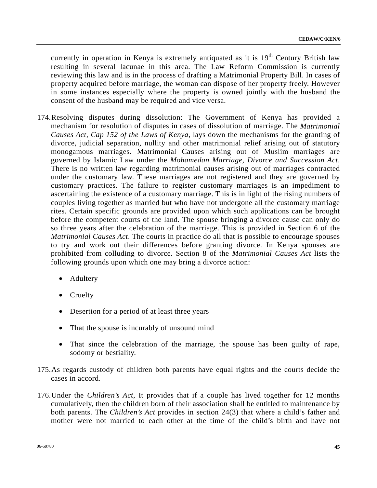currently in operation in Kenya is extremely antiquated as it is  $19<sup>th</sup>$  Century British law resulting in several lacunae in this area. The Law Reform Commission is currently reviewing this law and is in the process of drafting a Matrimonial Property Bill. In cases of property acquired before marriage, the woman can dispose of her property freely. However in some instances especially where the property is owned jointly with the husband the consent of the husband may be required and vice versa.

- 174.Resolving disputes during dissolution: The Government of Kenya has provided a mechanism for resolution of disputes in cases of dissolution of marriage. The *Matrimonial Causes Act, Cap 152 of the Laws of Kenya*, lays down the mechanisms for the granting of divorce, judicial separation, nullity and other matrimonial relief arising out of statutory monogamous marriages. Matrimonial Causes arising out of Muslim marriages are governed by Islamic Law under the *Mohamedan Marriage, Divorce and Succession Act*. There is no written law regarding matrimonial causes arising out of marriages contracted under the customary law. These marriages are not registered and they are governed by customary practices. The failure to register customary marriages is an impediment to ascertaining the existence of a customary marriage. This is in light of the rising numbers of couples living together as married but who have not undergone all the customary marriage rites. Certain specific grounds are provided upon which such applications can be brought before the competent courts of the land. The spouse bringing a divorce cause can only do so three years after the celebration of the marriage. This is provided in Section 6 of the *Matrimonial Causes Act*. The courts in practice do all that is possible to encourage spouses to try and work out their differences before granting divorce. In Kenya spouses are prohibited from colluding to divorce. Section 8 of the *Matrimonial Causes Act* lists the following grounds upon which one may bring a divorce action:
	- **Adultery**
	- Cruelty
	- Desertion for a period of at least three years
	- That the spouse is incurably of unsound mind
	- That since the celebration of the marriage, the spouse has been guilty of rape, sodomy or bestiality.
- 175.As regards custody of children both parents have equal rights and the courts decide the cases in accord.
- 176.Under the *Children's Act*, It provides that if a couple has lived together for 12 months cumulatively, then the children born of their association shall be entitled to maintenance by both parents. The *Children's Act* provides in section 24(3) that where a child's father and mother were not married to each other at the time of the child's birth and have not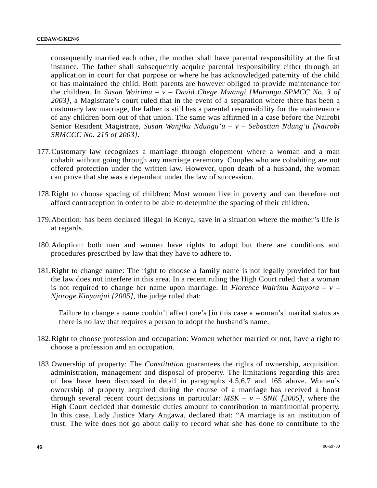consequently married each other, the mother shall have parental responsibility at the first instance. The father shall subsequently acquire parental responsibility either through an application in court for that purpose or where he has acknowledged paternity of the child or has maintained the child. Both parents are however obliged to provide maintenance for the children. In *Susan Wairimu – v – David Chege Mwangi [Muranga SPMCC No. 3 of 2003]*, a Magistrate's court ruled that in the event of a separation where there has been a customary law marriage, the father is still has a parental responsibility for the maintenance of any children born out of that union. The same was affirmed in a case before the Nairobi Senior Resident Magistrate, *Susan Wanjiku Ndungu'u – v – Sebastian Ndung'u [Nairobi SRMCCC No. 215 of 2003]*.

- 177.Customary law recognizes a marriage through elopement where a woman and a man cohabit without going through any marriage ceremony. Couples who are cohabiting are not offered protection under the written law. However, upon death of a husband, the woman can prove that she was a dependant under the law of succession.
- 178.Right to choose spacing of children: Most women live in poverty and can therefore not afford contraception in order to be able to determine the spacing of their children.
- 179.Abortion: has been declared illegal in Kenya, save in a situation where the mother's life is at regards.
- 180.Adoption: both men and women have rights to adopt but there are conditions and procedures prescribed by law that they have to adhere to.
- 181.Right to change name: The right to choose a family name is not legally provided for but the law does not interfere in this area. In a recent ruling the High Court ruled that a woman is not required to change her name upon marriage. In *Florence Wairimu Kanyora – v – Njoroge Kinyanjui [2005]*, the judge ruled that:

Failure to change a name couldn't affect one's [in this case a woman's] marital status as there is no law that requires a person to adopt the husband's name.

- 182.Right to choose profession and occupation: Women whether married or not, have a right to choose a profession and an occupation.
- 183.Ownership of property: The *Constitution* guarantees the rights of ownership, acquisition, administration, management and disposal of property. The limitations regarding this area of law have been discussed in detail in paragraphs 4,5,6,7 and 165 above. Women's ownership of property acquired during the course of a marriage has received a boost through several recent court decisions in particular:  $MSK - v - SNK$  [2005], where the High Court decided that domestic duties amount to contribution to matrimonial property. In this case, Lady Justice Mary Angawa, declared that: "A marriage is an institution of trust. The wife does not go about daily to record what she has done to contribute to the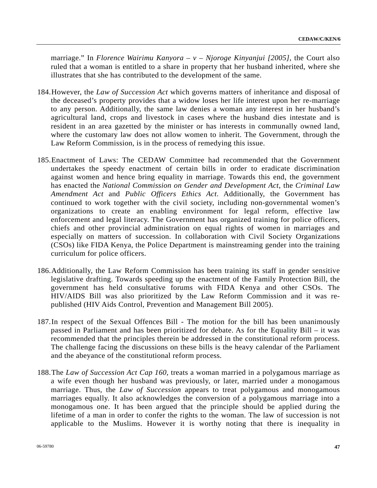marriage." In *Florence Wairimu Kanyora – v – Njoroge Kinyanjui [2005]*, the Court also ruled that a woman is entitled to a share in property that her husband inherited, where she illustrates that she has contributed to the development of the same.

- 184.However, the *Law of Succession Act* which governs matters of inheritance and disposal of the deceased's property provides that a widow loses her life interest upon her re-marriage to any person. Additionally, the same law denies a woman any interest in her husband's agricultural land, crops and livestock in cases where the husband dies intestate and is resident in an area gazetted by the minister or has interests in communally owned land, where the customary law does not allow women to inherit. The Government, through the Law Reform Commission, is in the process of remedying this issue.
- 185.Enactment of Laws: The CEDAW Committee had recommended that the Government undertakes the speedy enactment of certain bills in order to eradicate discrimination against women and hence bring equality in marriage. Towards this end, the government has enacted the *National Commission on Gender and Development Act*, the *Criminal Law Amendment Act* and *Public Officers Ethics Act*. Additionally, the Government has continued to work together with the civil society, including non-governmental women's organizations to create an enabling environment for legal reform, effective law enforcement and legal literacy. The Government has organized training for police officers, chiefs and other provincial administration on equal rights of women in marriages and especially on matters of succession. In collaboration with Civil Society Organizations (CSOs) like FIDA Kenya, the Police Department is mainstreaming gender into the training curriculum for police officers.
- 186.Additionally, the Law Reform Commission has been training its staff in gender sensitive legislative drafting. Towards speeding up the enactment of the Family Protection Bill, the government has held consultative forums with FIDA Kenya and other CSOs. The HIV/AIDS Bill was also prioritized by the Law Reform Commission and it was republished (HIV Aids Control, Prevention and Management Bill 2005).
- 187.In respect of the Sexual Offences Bill The motion for the bill has been unanimously passed in Parliament and has been prioritized for debate. As for the Equality Bill – it was recommended that the principles therein be addressed in the constitutional reform process. The challenge facing the discussions on these bills is the heavy calendar of the Parliament and the abeyance of the constitutional reform process.
- 188.The *Law of Succession Act Cap 160*, treats a woman married in a polygamous marriage as a wife even though her husband was previously, or later, married under a monogamous marriage. Thus, the *Law of Succession* appears to treat polygamous and monogamous marriages equally. It also acknowledges the conversion of a polygamous marriage into a monogamous one. It has been argued that the principle should be applied during the lifetime of a man in order to confer the rights to the woman. The law of succession is not applicable to the Muslims. However it is worthy noting that there is inequality in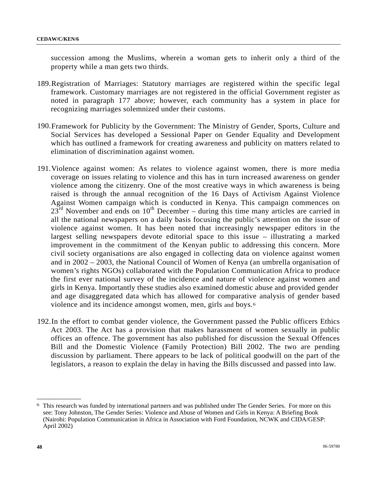succession among the Muslims, wherein a woman gets to inherit only a third of the property while a man gets two thirds.

- 189.Registration of Marriages: Statutory marriages are registered within the specific legal framework. Customary marriages are not registered in the official Government register as noted in paragraph 177 above; however, each community has a system in place for recognizing marriages solemnized under their customs.
- 190.Framework for Publicity by the Government: The Ministry of Gender, Sports, Culture and Social Services has developed a Sessional Paper on Gender Equality and Development which has outlined a framework for creating awareness and publicity on matters related to elimination of discrimination against women.
- 191.Violence against women: As relates to violence against women, there is more media coverage on issues relating to violence and this has in turn increased awareness on gender violence among the citizenry. One of the most creative ways in which awareness is being raised is through the annual recognition of the 16 Days of Activism Against Violence Against Women campaign which is conducted in Kenya. This campaign commences on  $23<sup>rd</sup>$  November and ends on  $10<sup>th</sup>$  December – during this time many articles are carried in all the national newspapers on a daily basis focusing the public's attention on the issue of violence against women. It has been noted that increasingly newspaper editors in the largest selling newspapers devote editorial space to this issue – illustrating a marked improvement in the commitment of the Kenyan public to addressing this concern. More civil society organisations are also engaged in collecting data on violence against women and in 2002 – 2003, the National Council of Women of Kenya (an umbrella organisation of women's rights NGOs) collaborated with the Population Communication Africa to produce the first ever national survey of the incidence and nature of violence against women and girls in Kenya. Importantly these studies also examined domestic abuse and provided gender and age disaggregated data which has allowed for comparative analysis of gender based violence and its incidence amongst women, men, girls and boys.[6](#page-47-0)
- 192.In the effort to combat gender violence, the Government passed the Public officers Ethics Act 2003. The Act has a provision that makes harassment of women sexually in public offices an offence. The government has also published for discussion the Sexual Offences Bill and the Domestic Violence (Family Protection) Bill 2002. The two are pending discussion by parliament. There appears to be lack of political goodwill on the part of the legislators, a reason to explain the delay in having the Bills discussed and passed into law.

**\_\_\_\_\_\_\_\_\_\_\_\_\_\_\_\_\_\_** 

<span id="page-47-0"></span><sup>6</sup> This research was funded by international partners and was published under The Gender Series. For more on this see: Tony Johnston, The Gender Series: Violence and Abuse of Women and Girls in Kenya: A Briefing Book (Nairobi: Population Communication in Africa in Association with Ford Foundation, NCWK and CIDA/GESP: April 2002)